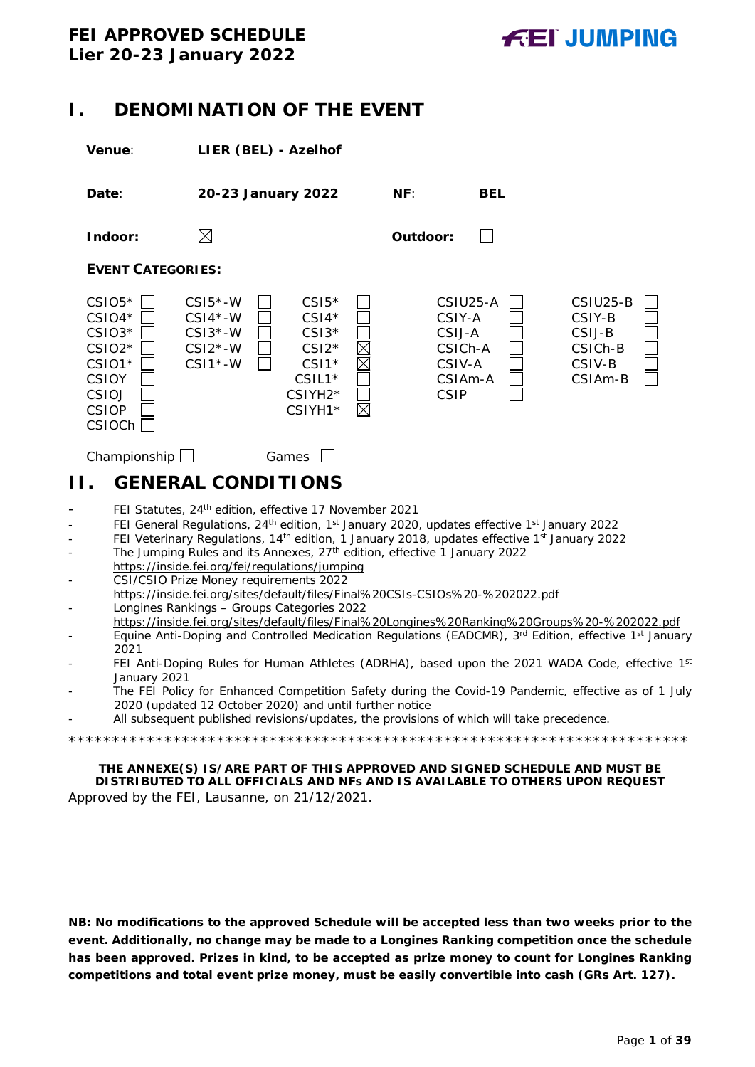## <span id="page-0-0"></span>**I. DENOMINATION OF THE EVENT**

**Venue**: **LIER (BEL) - Azelhof**



## <span id="page-0-1"></span>Championship Games Games **II. GENERAL CONDITIONS**

- FEI Statutes, 24<sup>th</sup> edition, effective 17 November 2021
- FEI General Regulations, 24<sup>th</sup> edition, 1<sup>st</sup> January 2020, updates effective 1<sup>st</sup> January 2022
- FEI Veterinary Regulations, 14<sup>th</sup> edition, 1 January 2018, updates effective 1<sup>st</sup> January 2022
- The Jumping Rules and its Annexes, 27<sup>th</sup> edition, effective 1 January 2022 https://inside.fei.org/fei/regulations/jumping
- CSI/CSIO Prize Money requirements 2022 https://inside.fei.org/sites/default/files/Final%20CSIs-CSIOs%20-%202022.pdf - Longines Rankings – Groups Categories 2022
- https://inside.fei.org/sites/default/files/Final%20Longines%20Ranking%20Groups%20-%202022.pdf
- Equine Anti-Doping and Controlled Medication Regulations (EADCMR), 3<sup>rd</sup> Edition, effective 1<sup>st</sup> January 2021
- FEI Anti-Doping Rules for Human Athletes (ADRHA), based upon the 2021 WADA Code, effective 1st January 2021
- The FEI Policy for Enhanced Competition Safety during the Covid-19 Pandemic, effective as of 1 July 2020 (updated 12 October 2020) and until further notice
- All subsequent published revisions/updates, the provisions of which will take precedence.

\*\*\*\*\*\*\*\*\*\*\*\*\*\*\*\*\*\*\*\*\*\*\*\*\*\*\*\*\*\*\*\*\*\*\*\*\*\*\*\*\*\*\*\*\*\*\*\*\*\*\*\*\*\*\*\*\*\*\*\*\*\*\*\*\*\*\*\*\*\*\*

**THE ANNEXE(S) IS/ARE PART OF THIS APPROVED AND SIGNED SCHEDULE AND MUST BE DISTRIBUTED TO ALL OFFICIALS AND NFs AND IS AVAILABLE TO OTHERS UPON REQUEST** Approved by the FEI, Lausanne, on 21/12/2021.

**NB: No modifications to the approved Schedule will be accepted less than two weeks prior to the event. Additionally, no change may be made to a Longines Ranking competition once the schedule has been approved. Prizes in kind, to be accepted as prize money to count for Longines Ranking competitions and total event prize money, must be easily convertible into cash (GRs Art. 127).**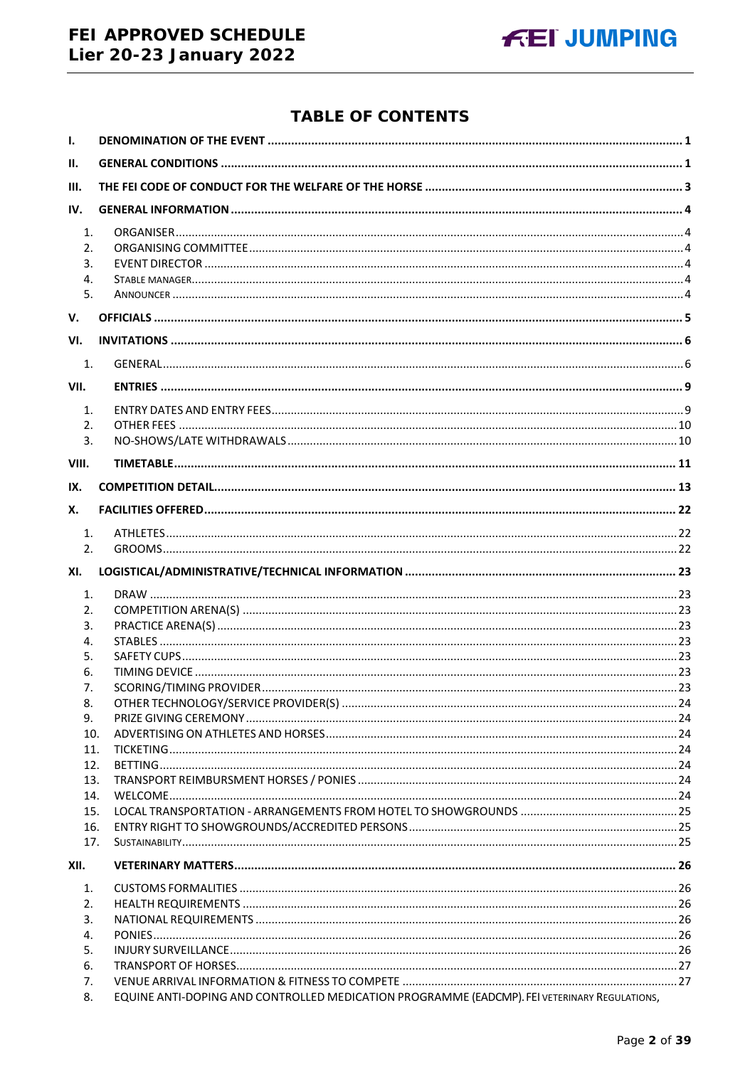## FEI APPROVED SCHEDULE Lier 20-23 January 2022



## **TABLE OF CONTENTS**

| Ι.                         |                                                                                              |  |
|----------------------------|----------------------------------------------------------------------------------------------|--|
| II.                        |                                                                                              |  |
| III.                       |                                                                                              |  |
| IV.                        |                                                                                              |  |
| 1.<br>2.<br>3.<br>4.<br>5. |                                                                                              |  |
| V.                         |                                                                                              |  |
| VI.                        |                                                                                              |  |
| 1.                         |                                                                                              |  |
| VII.                       |                                                                                              |  |
| 1.                         |                                                                                              |  |
| 2.                         |                                                                                              |  |
| 3.                         |                                                                                              |  |
| VIII.                      |                                                                                              |  |
| IX.                        |                                                                                              |  |
| Х.                         |                                                                                              |  |
| $\mathbf{1}$ .             |                                                                                              |  |
| 2.                         |                                                                                              |  |
| XI.                        |                                                                                              |  |
| 1.                         |                                                                                              |  |
| 2.                         |                                                                                              |  |
| 3.<br>4.                   |                                                                                              |  |
| 5.                         |                                                                                              |  |
| 6.                         |                                                                                              |  |
| 7.                         |                                                                                              |  |
| 8.                         |                                                                                              |  |
| 9.                         |                                                                                              |  |
| 10.                        |                                                                                              |  |
| 11.                        |                                                                                              |  |
| 12.                        |                                                                                              |  |
| 13.                        |                                                                                              |  |
| 14.<br>15.                 |                                                                                              |  |
| 16.                        |                                                                                              |  |
| 17.                        |                                                                                              |  |
| XII.                       |                                                                                              |  |
| 1.                         |                                                                                              |  |
| 2.                         |                                                                                              |  |
| 3.                         |                                                                                              |  |
| 4.                         |                                                                                              |  |
| 5.                         |                                                                                              |  |
| 6.<br>7.                   |                                                                                              |  |
| 8.                         | EQUINE ANTI-DOPING AND CONTROLLED MEDICATION PROGRAMME (EADCMP). FEI VETERINARY REGULATIONS, |  |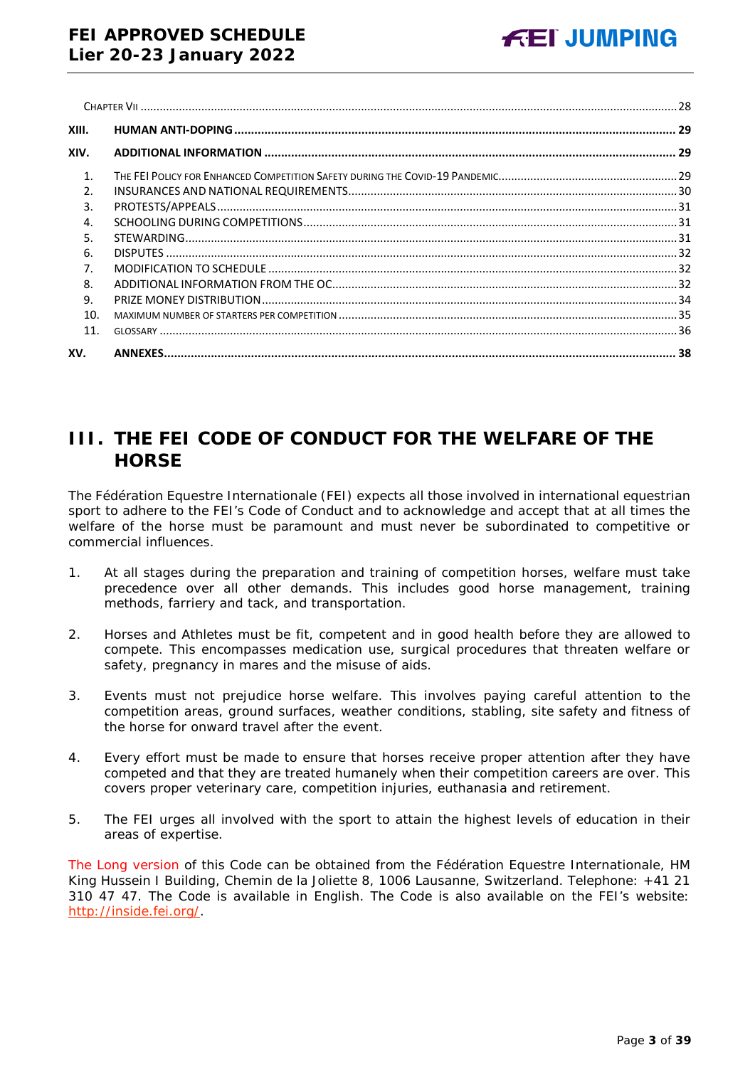| XIII.          |  |
|----------------|--|
| XIV.           |  |
| $\mathbf{1}$ . |  |
| $\mathcal{P}$  |  |
| 3.             |  |
| 4.             |  |
| 5.             |  |
| 6.             |  |
| 7 <sub>z</sub> |  |
| 8.             |  |
| 9.             |  |
| 10.            |  |
| 11.            |  |
| XV.            |  |

## <span id="page-2-0"></span>**III. THE FEI CODE OF CONDUCT FOR THE WELFARE OF THE HORSE**

The Fédération Equestre Internationale (FEI) expects all those involved in international equestrian sport to adhere to the FEI's Code of Conduct and to acknowledge and accept that at all times the welfare of the horse must be paramount and must never be subordinated to competitive or commercial influences.

- 1. At all stages during the preparation and training of competition horses, welfare must take precedence over all other demands. This includes good horse management, training methods, farriery and tack, and transportation.
- 2. Horses and Athletes must be fit, competent and in good health before they are allowed to compete. This encompasses medication use, surgical procedures that threaten welfare or safety, pregnancy in mares and the misuse of aids.
- 3. Events must not prejudice horse welfare. This involves paying careful attention to the competition areas, ground surfaces, weather conditions, stabling, site safety and fitness of the horse for onward travel after the event.
- 4. Every effort must be made to ensure that horses receive proper attention after they have competed and that they are treated humanely when their competition careers are over. This covers proper veterinary care, competition injuries, euthanasia and retirement.
- 5. The FEI urges all involved with the sport to attain the highest levels of education in their areas of expertise.

The Long version of this Code can be obtained from the Fédération Equestre Internationale, HM King Hussein I Building, Chemin de la Joliette 8, 1006 Lausanne, Switzerland. Telephone: +41 21 310 47 47. The Code is available in English. The Code is also available on the FEI's website: [http://inside.fei.org/.](http://inside.fei.org/)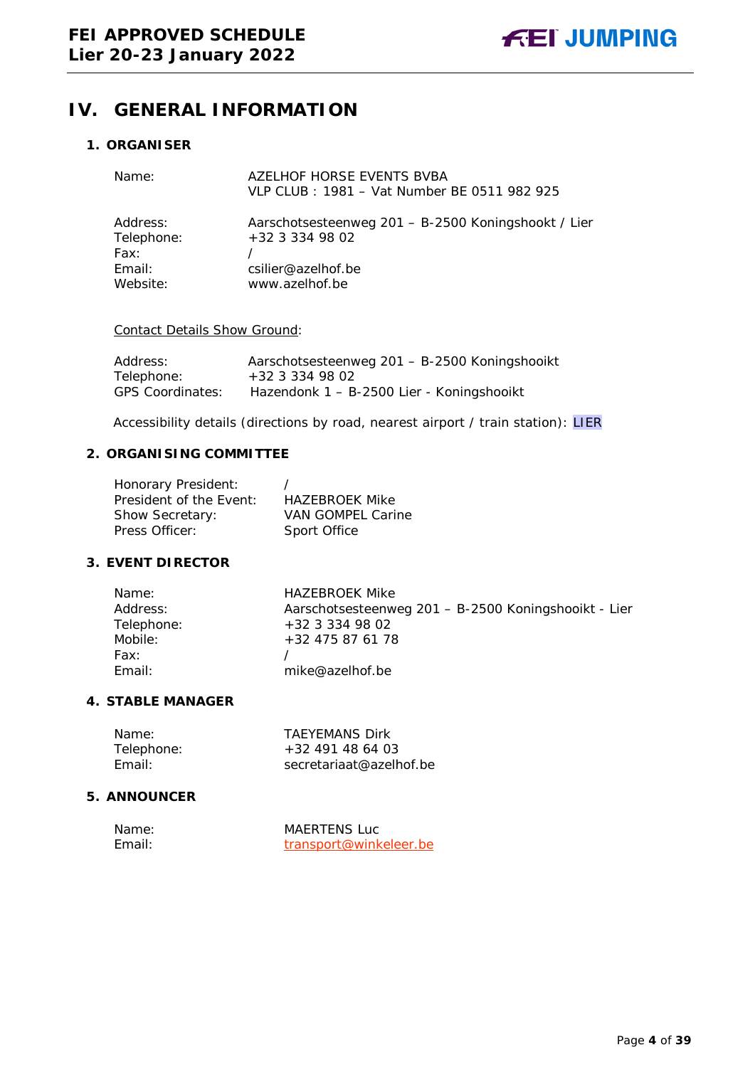## <span id="page-3-0"></span>**IV. GENERAL INFORMATION**

#### <span id="page-3-1"></span>**1. ORGANISER**

| Name:                          | AZELHOF HORSE EVENTS BVBA<br>VLP CLUB: 1981 - Vat Number BE 0511 982 925 |
|--------------------------------|--------------------------------------------------------------------------|
| Address:<br>Telephone:<br>Fax: | Aarschotsesteenweg 201 - B-2500 Koningshookt / Lier<br>+32 3 334 98 02   |
| Email:                         | csilier@azelhof.be                                                       |
| Website:                       | www.azelhof.be                                                           |

#### Contact Details Show Ground:

| Address:                | Aarschotsesteenweg 201 - B-2500 Koningshooikt |
|-------------------------|-----------------------------------------------|
| Telephone:              | $+32$ 3 334 98 02                             |
| <b>GPS Coordinates:</b> | Hazendonk 1 - B-2500 Lier - Koningshooikt     |

Accessibility details (directions by road, nearest airport / train station): LIER

### <span id="page-3-2"></span>**2. ORGANISING COMMITTEE**

| Honorary President:     |                          |
|-------------------------|--------------------------|
| President of the Event: | <b>HAZEBROEK Mike</b>    |
| Show Secretary:         | <b>VAN GOMPEL Carine</b> |
| Press Officer:          | Sport Office             |

## <span id="page-3-3"></span>**3. EVENT DIRECTOR**

| Name:      | <b>HAZEBROEK Mike</b>                                |
|------------|------------------------------------------------------|
| Address:   | Aarschotsesteenweg 201 - B-2500 Koningshooikt - Lier |
| Telephone: | +32 3 334 98 02                                      |
| Mobile:    | +32 475 87 61 78                                     |
| Fax:       |                                                      |
| Email:     | mike@azelhof.be                                      |

#### <span id="page-3-4"></span>**4. STABLE MANAGER**

| Name:      | <b>TAEYEMANS Dirk</b>   |
|------------|-------------------------|
| Telephone: | $+32$ 491 48 64 03      |
| Fmail: I   | secretariaat@azelhof.be |

### <span id="page-3-5"></span>**5. ANNOUNCER**

| Name:  | <b>MAERTENS Luc</b>    |
|--------|------------------------|
| Fmail: | transport@winkeleer.be |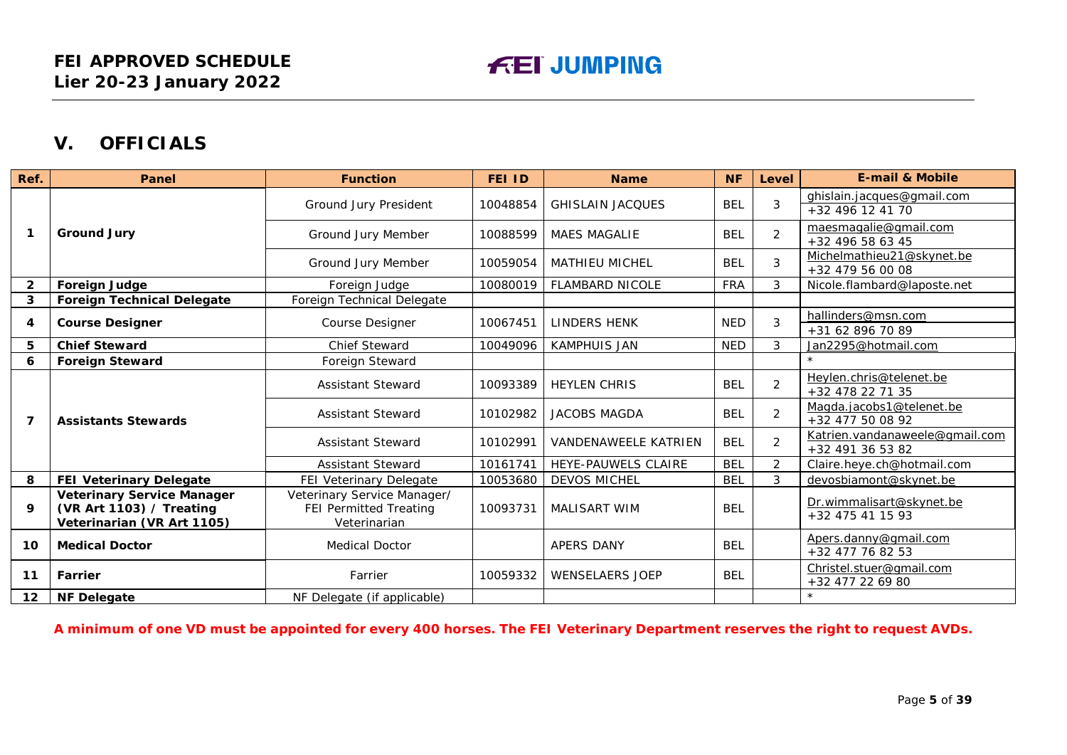## **V. OFFICIALS**

| Ref.         | <b>Panel</b>                                                                                | <b>Function</b>                                                       | <b>FEI ID</b> | <b>Name</b>                 | <b>NF</b>  | Level          | <b>E-mail &amp; Mobile</b>                         |
|--------------|---------------------------------------------------------------------------------------------|-----------------------------------------------------------------------|---------------|-----------------------------|------------|----------------|----------------------------------------------------|
|              |                                                                                             | Ground Jury President                                                 | 10048854      | <b>GHISLAIN JACOUES</b>     | <b>BEL</b> | 3              | ghislain.jacques@gmail.com<br>+32 496 12 41 70     |
| 1            | <b>Ground Jury</b>                                                                          | Ground Jury Member                                                    | 10088599      | <b>MAES MAGALIE</b>         | <b>BEL</b> | $\overline{2}$ | maesmagalie@gmail.com<br>+32 496 58 63 45          |
|              |                                                                                             | Ground Jury Member                                                    | 10059054      | <b>MATHIEU MICHEL</b>       | <b>BEL</b> | 3              | Michelmathieu21@skynet.be<br>+32 479 56 00 08      |
| $\mathbf{2}$ | <b>Foreign Judge</b>                                                                        | Foreign Judge                                                         | 10080019      | <b>FLAMBARD NICOLE</b>      | <b>FRA</b> | 3              | Nicole.flambard@laposte.net                        |
| 3            | <b>Foreign Technical Delegate</b>                                                           | Foreign Technical Delegate                                            |               |                             |            |                |                                                    |
| 4            | <b>Course Designer</b>                                                                      | Course Designer                                                       | 10067451      | <b>LINDERS HENK</b>         | <b>NED</b> | 3              | hallinders@msn.com<br>+31 62 896 70 89             |
| 5            | <b>Chief Steward</b>                                                                        | <b>Chief Steward</b>                                                  | 10049096      | <b>KAMPHUIS JAN</b>         | <b>NED</b> | 3              | Jan2295@hotmail.com                                |
| 6            | <b>Foreign Steward</b>                                                                      | Foreign Steward                                                       |               |                             |            |                | $\star$                                            |
|              |                                                                                             | <b>Assistant Steward</b>                                              | 10093389      | <b>HEYLEN CHRIS</b>         | <b>BEL</b> | $\overline{2}$ | Heylen.chris@telenet.be<br>+32 478 22 71 35        |
| 7            | <b>Assistants Stewards</b>                                                                  | <b>Assistant Steward</b>                                              | 10102982      | <b>JACOBS MAGDA</b>         | <b>BEL</b> | $\overline{2}$ | Magda.jacobs1@telenet.be<br>+32 477 50 08 92       |
|              |                                                                                             | <b>Assistant Steward</b>                                              | 10102991      | <b>VANDENAWEELE KATRIEN</b> | <b>BEL</b> | $\overline{2}$ | Katrien.vandanaweele@qmail.com<br>+32 491 36 53 82 |
|              |                                                                                             | <b>Assistant Steward</b>                                              | 10161741      | HEYE-PAUWELS CLAIRE         | <b>BEL</b> | $\overline{2}$ | Claire.heye.ch@hotmail.com                         |
| 8            | <b>FEI Veterinary Delegate</b>                                                              | <b>FEI Veterinary Delegate</b>                                        | 10053680      | <b>DEVOS MICHEL</b>         | <b>BEL</b> | 3              | devosbiamont@skynet.be                             |
| 9            | <b>Veterinary Service Manager</b><br>(VR Art 1103) / Treating<br>Veterinarian (VR Art 1105) | Veterinary Service Manager/<br>FEI Permitted Treating<br>Veterinarian | 10093731      | <b>MALISART WIM</b>         | <b>BEL</b> |                | Dr.wimmalisart@skynet.be<br>+32 475 41 15 93       |
| 10           | <b>Medical Doctor</b>                                                                       | <b>Medical Doctor</b>                                                 |               | APERS DANY                  | <b>BEL</b> |                | Apers.danny@gmail.com<br>+32 477 76 82 53          |
| 11           | Farrier                                                                                     | Farrier                                                               | 10059332      | <b>WENSELAERS JOEP</b>      | <b>BEL</b> |                | Christel.stuer@gmail.com<br>+32 477 22 69 80       |
| 12           | <b>NF Delegate</b>                                                                          | NF Delegate (if applicable)                                           |               |                             |            |                | $\star$                                            |

<span id="page-4-0"></span>**A minimum of one VD must be appointed for every 400 horses. The FEI Veterinary Department reserves the right to request AVDs.**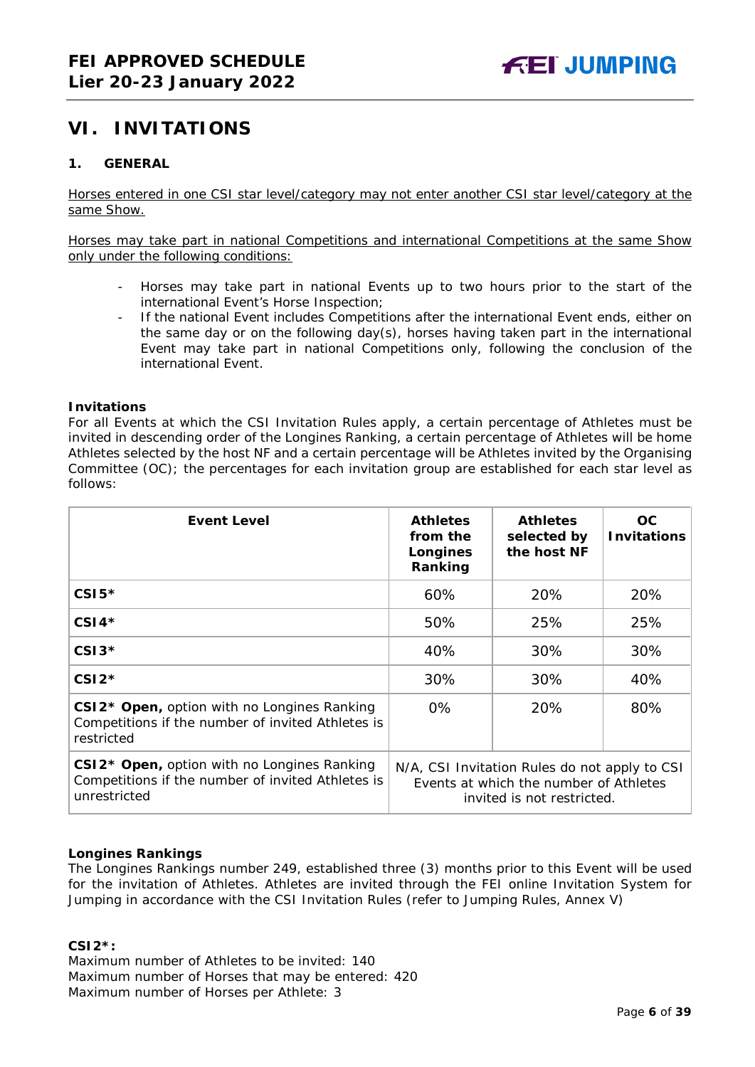## <span id="page-5-0"></span>**VI. INVITATIONS**

#### <span id="page-5-1"></span>**1. GENERAL**

Horses entered in one CSI star level/category may not enter another CSI star level/category at the same Show.

Horses may take part in national Competitions and international Competitions at the same Show only under the following conditions:

- Horses may take part in national Events up to two hours prior to the start of the international Event's Horse Inspection;
- If the national Event includes Competitions after the international Event ends, either on the same day or on the following day(s), horses having taken part in the international Event may take part in national Competitions only, following the conclusion of the international Event.

#### **Invitations**

For all Events at which the CSI Invitation Rules apply, a certain percentage of Athletes must be invited in descending order of the Longines Ranking, a certain percentage of Athletes will be home Athletes selected by the host NF and a certain percentage will be Athletes invited by the Organising Committee (OC); the percentages for each invitation group are established for each star level as follows:

| <b>Event Level</b>                                                                                                           | <b>Athletes</b><br>from the<br>Longines<br>Ranking                                                                    | <b>Athletes</b><br>selected by<br>the host NF | OC.<br><b>Invitations</b> |
|------------------------------------------------------------------------------------------------------------------------------|-----------------------------------------------------------------------------------------------------------------------|-----------------------------------------------|---------------------------|
| $CSI5*$                                                                                                                      | 60%                                                                                                                   | 20%                                           | 20%                       |
| $CSI4*$                                                                                                                      | 50%                                                                                                                   | 25%                                           | 25%                       |
| $CSI3*$                                                                                                                      | 40%                                                                                                                   | 30%                                           | 30%                       |
| $CSI2*$                                                                                                                      | 30%                                                                                                                   | 30%                                           | 40%                       |
| CSI2* Open, option with no Longines Ranking<br>Competitions if the number of invited Athletes is<br>restricted               | $0\%$                                                                                                                 | 20%                                           | 80%                       |
| CSI2 <sup>*</sup> Open, option with no Longines Ranking<br>Competitions if the number of invited Athletes is<br>unrestricted | N/A, CSI Invitation Rules do not apply to CSI<br>Events at which the number of Athletes<br>invited is not restricted. |                                               |                           |

#### **Longines Rankings**

The Longines Rankings number 249, established three (3) months prior to this Event will be used for the invitation of Athletes. Athletes are invited through the FEI online Invitation System for Jumping in accordance with the CSI Invitation Rules (refer to Jumping Rules, Annex V)

#### **CSI2\*:**

Maximum number of Athletes to be invited: 140 Maximum number of Horses that may be entered: 420 Maximum number of Horses per Athlete: 3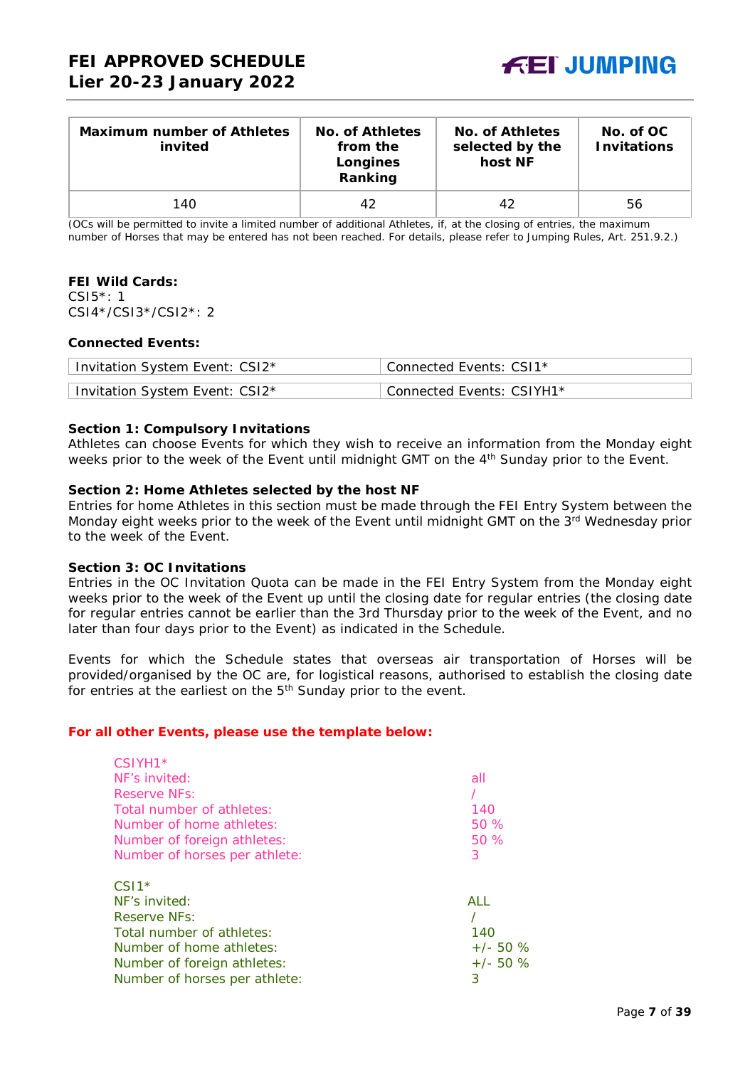

| <b>Maximum number of Athletes</b><br>invited | No. of Athletes<br>from the<br>Longines<br>Ranking | No. of Athletes<br>selected by the<br>host NF | No. of OC<br><b>Invitations</b> |
|----------------------------------------------|----------------------------------------------------|-----------------------------------------------|---------------------------------|
| 140                                          | 42                                                 | 42                                            | 56                              |

(OCs will be permitted to invite a limited number of additional Athletes, if, at the closing of entries, the maximum number of Horses that may be entered has not been reached. For details, please refer to Jumping Rules, Art. 251.9.2.)

#### **FEI Wild Cards:**

CSI5\*: 1 CSI4\*/CSI3\*/CSI2\*: 2

#### **Connected Events:**

| Invitation System Event: CSI2* | Connected Events: CSI1*   |
|--------------------------------|---------------------------|
| Invitation System Event: CSI2* | Connected Events: CSIYH1* |

#### **Section 1: Compulsory Invitations**

Athletes can choose Events for which they wish to receive an information from the Monday eight weeks prior to the week of the Event until midnight GMT on the 4<sup>th</sup> Sunday prior to the Event.

#### **Section 2: Home Athletes selected by the host NF**

Entries for home Athletes in this section must be made through the FEI Entry System between the Monday eight weeks prior to the week of the Event until midnight GMT on the 3rd Wednesday prior to the week of the Event.

#### **Section 3: OC Invitations**

Entries in the OC Invitation Quota can be made in the FEI Entry System from the Monday eight weeks prior to the week of the Event up until the closing date for regular entries (the closing date for regular entries cannot be earlier than the 3rd Thursday prior to the week of the Event, and no later than four days prior to the Event) as indicated in the Schedule.

Events for which the Schedule states that overseas air transportation of Horses will be provided/organised by the OC are, for logistical reasons, authorised to establish the closing date for entries at the earliest on the 5<sup>th</sup> Sunday prior to the event.

#### *For all other Events, please use the template below:*

| $CSIVH1*$                     |             |
|-------------------------------|-------------|
| NF's invited:                 | all         |
| Reserve NFs:                  |             |
| Total number of athletes:     | 140         |
| Number of home athletes:      | 50%         |
| Number of foreign athletes:   | 50%         |
| Number of horses per athlete: | 3           |
| $CS11*$                       |             |
| NF's invited:                 | ALL         |
| Reserve NFs:                  |             |
| Total number of athletes:     | 140         |
| Number of home athletes:      | $+/- 50 \%$ |
| Number of foreign athletes:   | $+/- 50 \%$ |
| Number of horses per athlete: | 3           |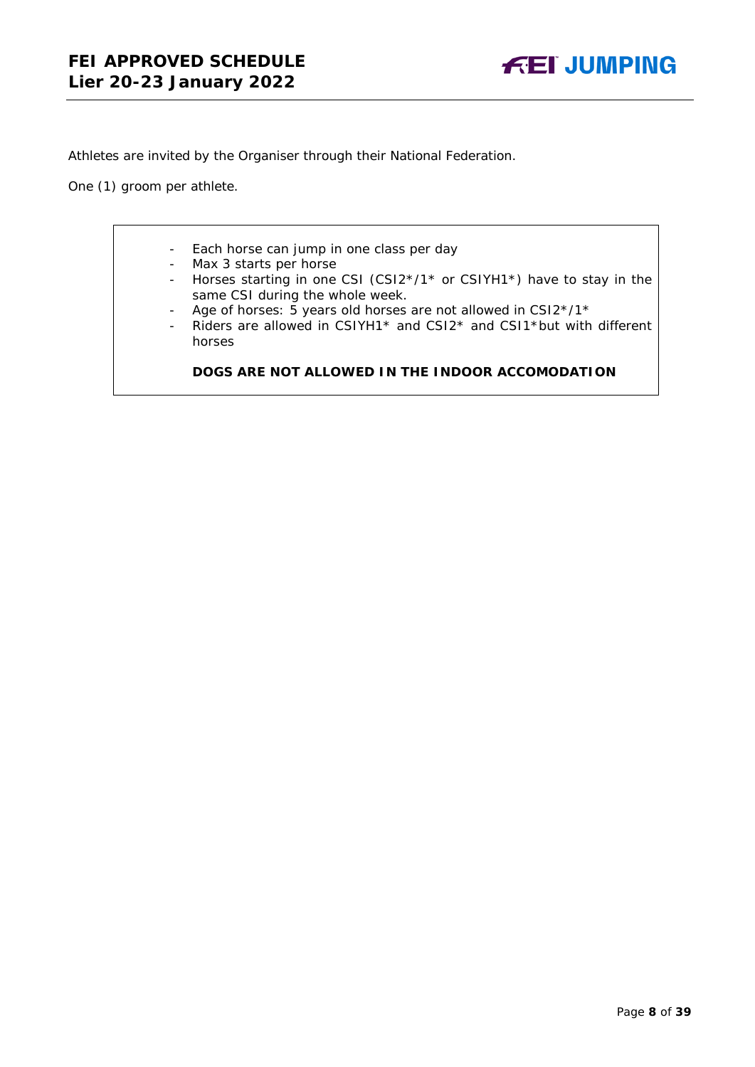Athletes are invited by the Organiser through their National Federation.

One (1) groom per athlete.

- Each horse can jump in one class per day
- Max 3 starts per horse
- Horses starting in one CSI (CSI2\*/1\* or CSIYH1\*) have to stay in the same CSI during the whole week.
- Age of horses: 5 years old horses are not allowed in CSI2\*/1\*
- Riders are allowed in CSIYH1\* and CSI2\* and CSI1\*but with different horses

### **DOGS ARE NOT ALLOWED IN THE INDOOR ACCOMODATION**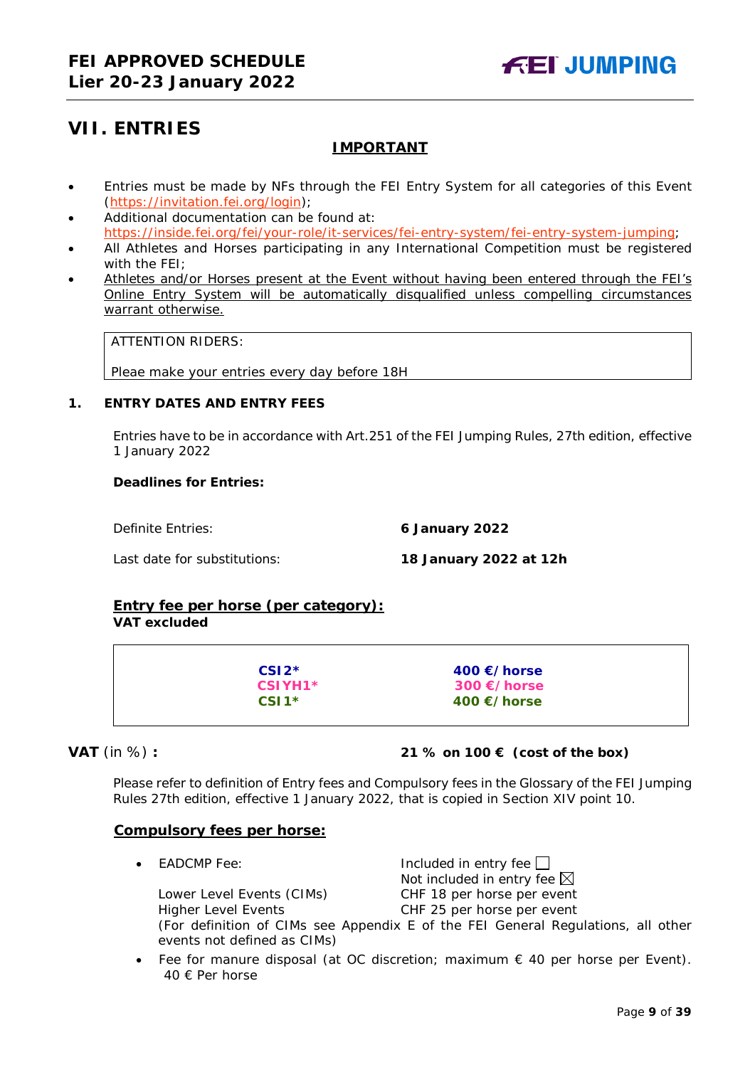## <span id="page-8-0"></span>**VII. ENTRIES**

### **IMPORTANT**

- Entries must be made by NFs through the FEI Entry System for all categories of this Event [\(https://invitation.fei.org/login\)](https://invitation.fei.org/login);
- Additional documentation can be found at: [https://inside.fei.org/fei/your-role/it-services/fei-entry-system/fei-entry-system-jumping;](https://inside.fei.org/fei/your-role/it-services/fei-entry-system/fei-entry-system-jumping)
- All Athletes and Horses participating in any International Competition must be registered with the FEI;
- Athletes and/or Horses present at the Event without having been entered through the FEI's Online Entry System will be automatically disqualified unless compelling circumstances warrant otherwise.

ATTENTION RIDERS:

Pleae make your entries every day before 18H

#### <span id="page-8-1"></span>**1. ENTRY DATES AND ENTRY FEES**

Entries have to be in accordance with Art.251 of the FEI Jumping Rules, 27th edition, effective 1 January 2022

#### **Deadlines for Entries:**

Definite Entries: **6 January 2022**

Last date for substitutions: **18 January 2022 at 12h**

## **Entry fee per horse** *(per category):*

## **VAT excluded**

**CSI2\* 400 €/horse CSIYH1\* 300 €/horse CSI1\* 400 €/horse**

### **VAT** (in %) **: 21 % on 100 € (cost of the box)**

Please refer to definition of Entry fees and Compulsory fees in the Glossary of the FEI Jumping Rules 27th edition, effective 1 January 2022, that is copied in Section XIV point 10.

### **Compulsory fees per horse:**

**EADCMP Fee:** Included in entry fee Not included in entry fee  $\boxtimes$ Lower Level Events (CIMs) CHF 18 per horse per event

Higher Level Events CHF 25 per horse per event

(For definition of CIMs see Appendix E of the FEI General Regulations, all other events not defined as CIMs)

• Fee for manure disposal (at OC discretion; maximum  $\epsilon$  40 per horse per Event). 40 € Per horse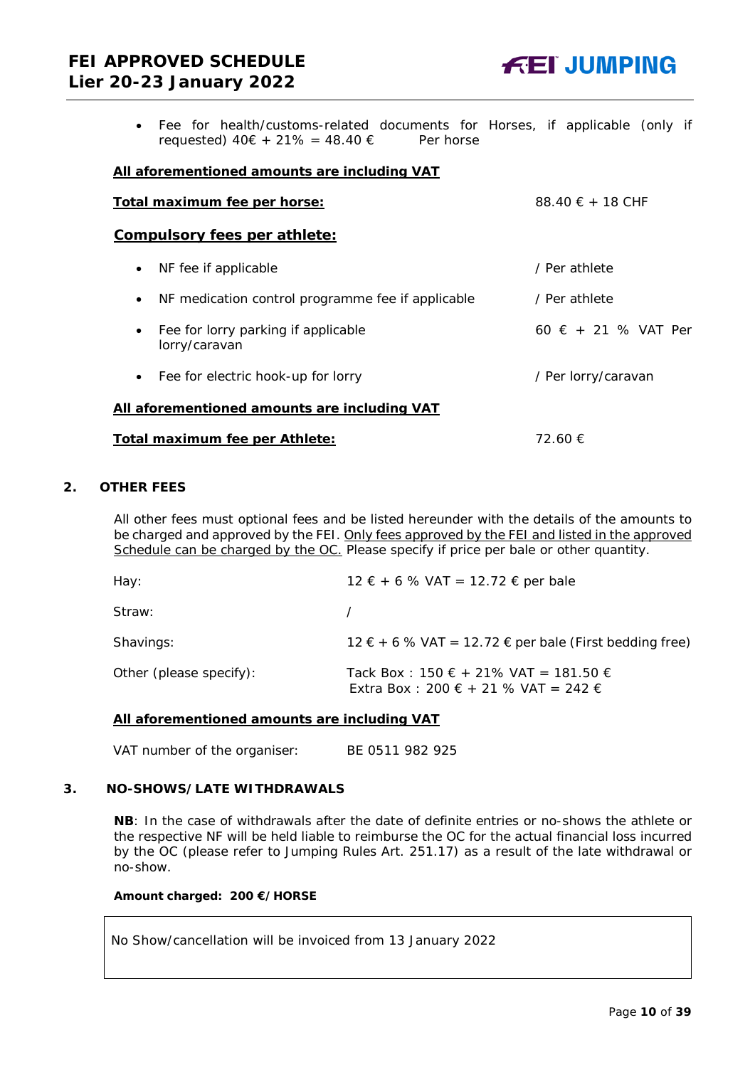## **FEI APPROVED SCHEDULE Lier 20-23 January 2022**



• Fee for health/customs-related documents for Horses, if applicable (only if requested)  $40€ + 21% = 48.40 €$  Per horse

#### **All aforementioned amounts are including VAT**

| Total maximum fee per horse:                                      | 88.40 $\epsilon$ + 18 CHF    |
|-------------------------------------------------------------------|------------------------------|
| <b>Compulsory fees per athlete:</b>                               |                              |
| NF fee if applicable<br>$\bullet$                                 | / Per athlete                |
| NF medication control programme fee if applicable<br>$\bullet$    | / Per athlete                |
| Fee for lorry parking if applicable<br>$\bullet$<br>lorry/caravan | 60 $\epsilon$ + 21 % VAT Per |
| Fee for electric hook-up for lorry<br>$\bullet$                   | / Per lorry/caravan          |
| All aforementioned amounts are including VAT                      |                              |
| Total maximum fee per Athlete:                                    | 72.60 €                      |

#### <span id="page-9-0"></span>**2. OTHER FEES**

All other fees must optional fees and be listed hereunder with the details of the amounts to be charged and approved by the FEI. Only fees approved by the FEI and listed in the approved Schedule can be charged by the OC. *Please specify if price per bale or other quantity.*

| Hay:                    | $12 \tisin 6 \%$ VAT = 12.72 € per bale                                      |
|-------------------------|------------------------------------------------------------------------------|
| Straw:                  |                                                                              |
| Shavings:               | $12 \in +6$ % VAT = 12.72 $\in$ per bale (First bedding free)                |
| Other (please specify): | Tack Box: 150 € + 21% VAT = 181.50 €<br>Extra Box : 200 € + 21 % VAT = 242 € |

#### **All aforementioned amounts are including VAT**

VAT number of the organiser: BE 0511 982 925

### <span id="page-9-1"></span>**3. NO-SHOWS/LATE WITHDRAWALS**

**NB**: In the case of withdrawals after the date of definite entries or no-shows the athlete or the respective NF will be held liable to reimburse the OC for the actual financial loss incurred by the OC (please refer to Jumping Rules Art. 251.17) as a result of the late withdrawal or no-show.

#### **Amount charged: 200 €/HORSE**

No Show/cancellation will be invoiced from 13 January 2022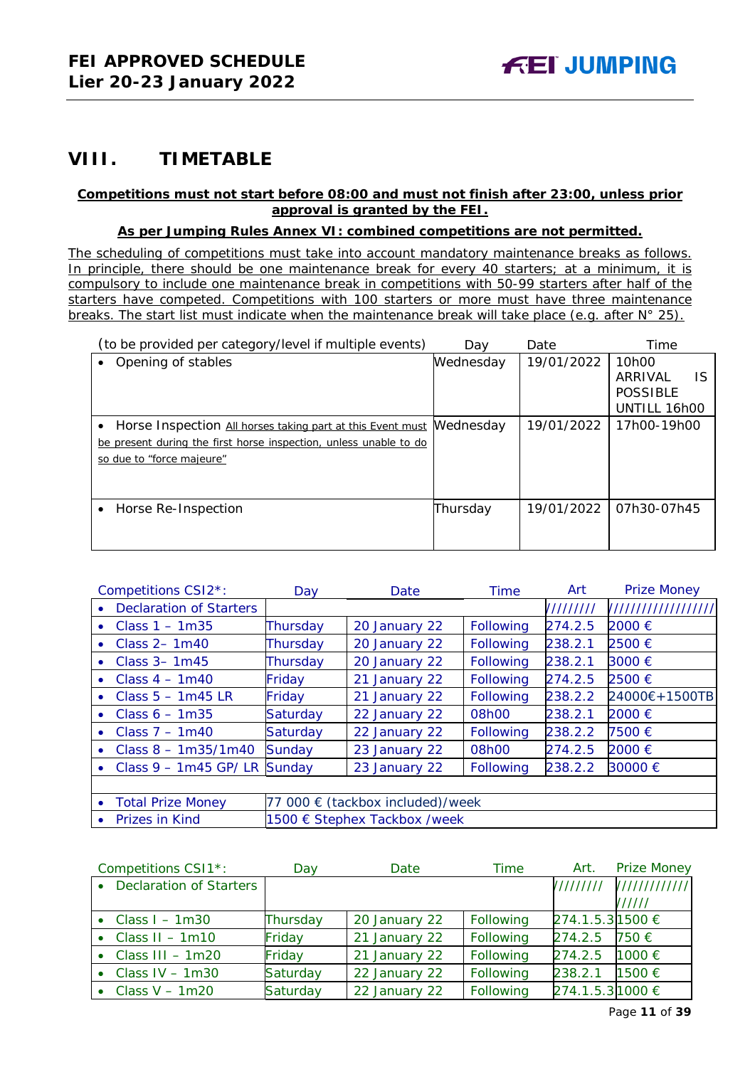## <span id="page-10-0"></span>**VIII. TIMETABLE**

#### **Competitions must not start before 08:00 and must not finish after 23:00, unless prior approval is granted by the FEI.**

#### **As per Jumping Rules Annex VI: combined competitions are not permitted.**

*The scheduling of competitions must take into account mandatory maintenance breaks as follows. In principle, there should be one maintenance break for every 40 starters; at a minimum, it is compulsory to include one maintenance break in competitions with 50-99 starters after half of the starters have competed. Competitions with 100 starters or more must have three maintenance breaks. The start list must indicate when the maintenance break will take place (e.g. after N° 25).*

| (to be provided per category/level if multiple events)            | Dav       | Date       | Time                            |
|-------------------------------------------------------------------|-----------|------------|---------------------------------|
| Opening of stables                                                | Wednesday | 19/01/2022 | 10 <sub>h</sub> 00              |
|                                                                   |           |            | <b>IS</b><br>ARRIVAL            |
|                                                                   |           |            | <b>POSSIBLE</b><br>UNTILL 16h00 |
|                                                                   |           |            |                                 |
| Horse Inspection All horses taking part at this Event must        | Mednesday | 19/01/2022 | 17h00-19h00                     |
| be present during the first horse inspection, unless unable to do |           |            |                                 |
| so due to "force majeure"                                         |           |            |                                 |
|                                                                   |           |            |                                 |
|                                                                   |           |            |                                 |
| Horse Re-Inspection<br>$\bullet$                                  | Thursday  | 19/01/2022 | 07h30-07h45                     |
|                                                                   |           |            |                                 |
|                                                                   |           |            |                                 |

|           | Competitions CSI2*:            | Day                              | Date          | <b>Time</b> | Art       | <b>Prize Money</b>  |
|-----------|--------------------------------|----------------------------------|---------------|-------------|-----------|---------------------|
|           | <b>Declaration of Starters</b> |                                  |               |             | 111111111 | /////////////////// |
| $\bullet$ | Class $1 - 1m35$               | Thursday                         | 20 January 22 | Following   | 274.2.5   | 2000 €              |
| ۰         | Class $2 - 1m40$               | Thursday                         | 20 January 22 | Following   | 238.2.1   | 2500 €              |
| $\bullet$ | Class $3 - 1m45$               | Thursday                         | 20 January 22 | Following   | 238.2.1   | 3000 €              |
| ٠         | Class $4 - 1m40$               | Friday                           | 21 January 22 | Following   | 274.2.5   | 2500€               |
|           | Class $5 - 1m45$ LR            | Friday                           | 21 January 22 | Following   | 238.2.2   | 24000€+1500TB       |
| $\bullet$ | Class $6 - 1m35$               | Saturday                         | 22 January 22 | 08h00       | 238.2.1   | 2000 €              |
| ۰         | Class $7 - 1m40$               | Saturday                         | 22 January 22 | Following   | 238.2.2   | 7500 €              |
|           | Class $8 - 1m35/1m40$          | <b>Sunday</b>                    | 23 January 22 | 08h00       | 274.2.5   | 2000 €              |
| $\bullet$ | Class $9 - 1m45$ GP/LR         | Sunday                           | 23 January 22 | Following   | 238.2.2   | 30000 €             |
|           |                                |                                  |               |             |           |                     |
|           | <b>Total Prize Money</b>       | 77 000 € (tackbox included)/week |               |             |           |                     |
| $\bullet$ | Prizes in Kind                 | 1500 € Stephex Tackbox /week     |               |             |           |                     |

| Competitions CSI1*:        | Day      | Date          | Time      | Art.             | <b>Prize Money</b> |
|----------------------------|----------|---------------|-----------|------------------|--------------------|
| • Declaration of Starters  |          |               |           |                  |                    |
|                            |          |               |           |                  | //////             |
| • Class $I - 1m30$         | Thursday | 20 January 22 | Following | 274.1.5.3 1500 € |                    |
| • Class $II - 1m10$        | Friday   | 21 January 22 | Following | 274.2.5          | 750 €              |
| $\bullet$ Class III - 1m20 | Friday   | 21 January 22 | Following | 274.2.5          | 1000 €             |
| $\bullet$ Class IV - 1m30  | Saturday | 22 January 22 | Following | 238.2.1          | 1500 €             |
| • Class $V - 1m20$         | Saturday | 22 January 22 | Following | 274.1.5.3 1000 € |                    |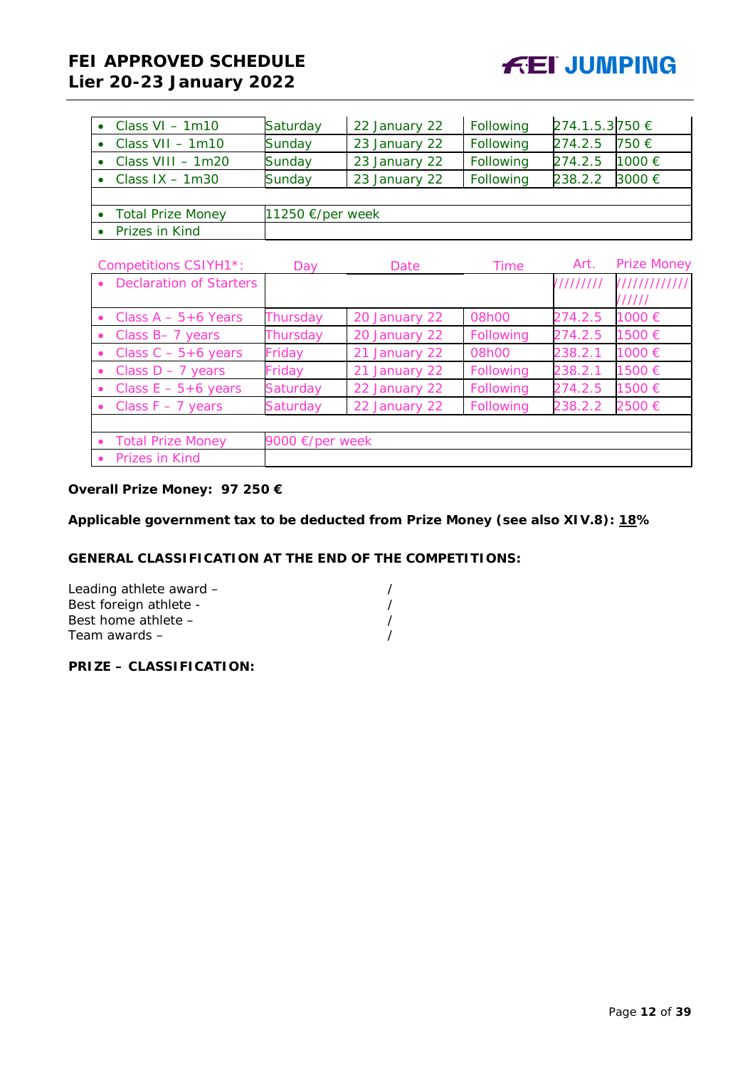## **FEI APPROVED SCHEDULE Lier 20-23 January 2022**

| • Class $VI - 1m10$         | Saturday                   | 22 January 22 | Following | 274.1.5.3750 € |        |
|-----------------------------|----------------------------|---------------|-----------|----------------|--------|
| $\bullet$ Class VII - 1m10  | Sunday                     | 23 January 22 | Following | 274.2.5        | 750 €  |
| $\bullet$ Class VIII - 1m20 | Sunday                     | 23 January 22 | Following | 274.2.5        | 1000 € |
| • Class $IX - 1m30$         | Sunday                     | 23 January 22 | Following | 238.2.2        | 3000 € |
|                             |                            |               |           |                |        |
| • Total Prize Money         | 11250 $\epsilon$ /per week |               |           |                |        |
| • Prizes in Kind            |                            |               |           |                |        |

|           | Competitions CSIYH1*:          | Day                       | Date          | Time      | Art.      | <b>Prize Money</b> |
|-----------|--------------------------------|---------------------------|---------------|-----------|-----------|--------------------|
| $\bullet$ | <b>Declaration of Starters</b> |                           |               |           | 111111111 | 1111111111111      |
|           |                                |                           |               |           |           | //////             |
|           | • Class $A - 5 + 6$ Years      | Thursday                  | 20 January 22 | 08h00     | 274.2.5   | 1000 €             |
| $\bullet$ | Class B-7 years                | Thursday                  | 20 January 22 | Following | 274.2.5   | 1500 €             |
|           | Class $C - 5 + 6$ years        | Friday                    | 21 January 22 | 08h00     | 238.2.1   | 1000 €             |
|           | Class $D - 7$ years            | Friday                    | 21 January 22 | Following | 238.2.1   | 1500 €             |
|           | Class $E - 5 + 6$ years        | Saturday                  | 22 January 22 | Following | 274.2.5   | 1500 €             |
|           | • Class $F - 7$ years          | Saturday                  | 22 January 22 | Following | 238.2.2   | 2500 €             |
|           |                                |                           |               |           |           |                    |
|           | • Total Prize Money            | 9000 $\epsilon$ /per week |               |           |           |                    |
|           | <b>Prizes in Kind</b>          |                           |               |           |           |                    |

## **Overall Prize Money: 97 250 €**

**Applicable government tax to be deducted from Prize Money (see also XIV.8): 18%**

#### **GENERAL CLASSIFICATION AT THE END OF THE COMPETITIONS:**

| Leading athlete award - |  |
|-------------------------|--|
| Best foreign athlete -  |  |
| Best home athlete $-$   |  |
| Team awards $-$         |  |

### **PRIZE – CLASSIFICATION:**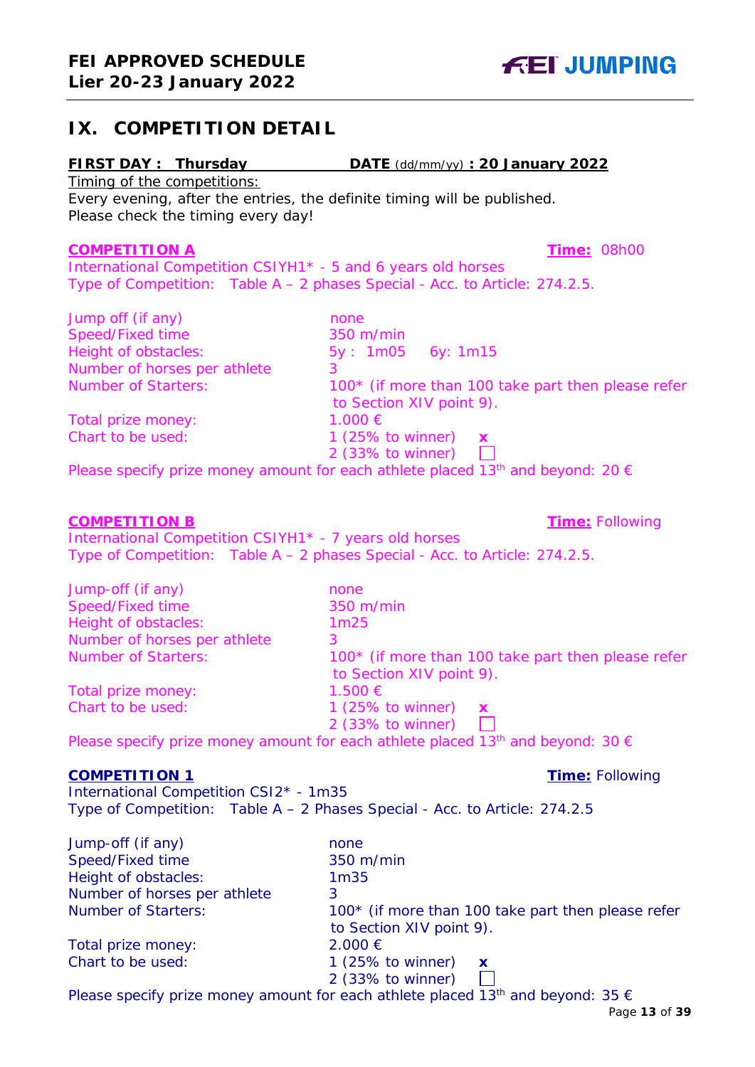## <span id="page-12-0"></span>**IX. COMPETITION DETAIL**

## **FIRST DAY : Thursday DATE** (dd/mm/yy) **: 20 January 2022**

Timing of the competitions:

Every evening, after the entries, the definite timing will be published. Please check the timing every day!

## **COMPETITION A Time:** 08h00

International Competition CSIYH1\* - 5 and 6 years old horses Type of Competition: Table A – 2 phases Special - Acc. to Article: 274.2.5.

| Jump off (if any)            | none                                                                                                 |
|------------------------------|------------------------------------------------------------------------------------------------------|
| Speed/Fixed time             | 350 m/min                                                                                            |
| Height of obstacles:         | $5y: 1m05$ 6y: 1m15                                                                                  |
| Number of horses per athlete |                                                                                                      |
| <b>Number of Starters:</b>   | 100* (if more than 100 take part then please refer                                                   |
|                              | to Section XIV point 9).                                                                             |
| Total prize money:           | 1.000 €                                                                                              |
| Chart to be used:            | 1 (25% to winner) $\boldsymbol{x}$                                                                   |
|                              | 2 (33% to winner)<br>I.                                                                              |
|                              | Please specify prize money amount for each athlete placed 13 <sup>th</sup> and beyond: 20 $\epsilon$ |

#### **COMPETITION B Time:** Following

International Competition CSIYH1\* - 7 years old horses Type of Competition: Table A – 2 phases Special - Acc. to Article: 274.2.5.

| Jump-off (if any)            | none                                                                           |
|------------------------------|--------------------------------------------------------------------------------|
| Speed/Fixed time             | 350 m/min                                                                      |
| Height of obstacles:         | 1 <sub>m25</sub>                                                               |
| Number of horses per athlete | 3                                                                              |
| <b>Number of Starters:</b>   | 100* (if more than 100 take part then please refer<br>to Section XIV point 9). |
| Total prize money:           | 1.500 €                                                                        |
| Chart to be used:            | 1 (25% to winner) $\boldsymbol{x}$<br>2 (33% to winner)                        |

Please specify prize money amount for each athlete placed 13<sup>th</sup> and beyond: 30  $\epsilon$ 

#### **COMPETITION 1 Time:** Following

International Competition CSI2\* - 1m35 Type of Competition: Table A – 2 Phases Special - Acc. to Article: 274.2.5

| Jump-off (if any)            | none                                               |
|------------------------------|----------------------------------------------------|
| Speed/Fixed time             | 350 m/min                                          |
| Height of obstacles:         | 1 <sub>m35</sub>                                   |
| Number of horses per athlete | 3                                                  |
| <b>Number of Starters:</b>   | 100* (if more than 100 take part then please refer |
|                              | to Section XIV point 9).                           |
| Total prize money:           | $2.000 \in$                                        |
| Chart to be used:            | 1 (25% to winner) $\boldsymbol{\mathsf{x}}$        |
|                              | $2$ (33% to winner)                                |
|                              |                                                    |

Please specify prize money amount for each athlete placed 13<sup>th</sup> and beyond: 35  $\epsilon$ 

**FEI JUMPING**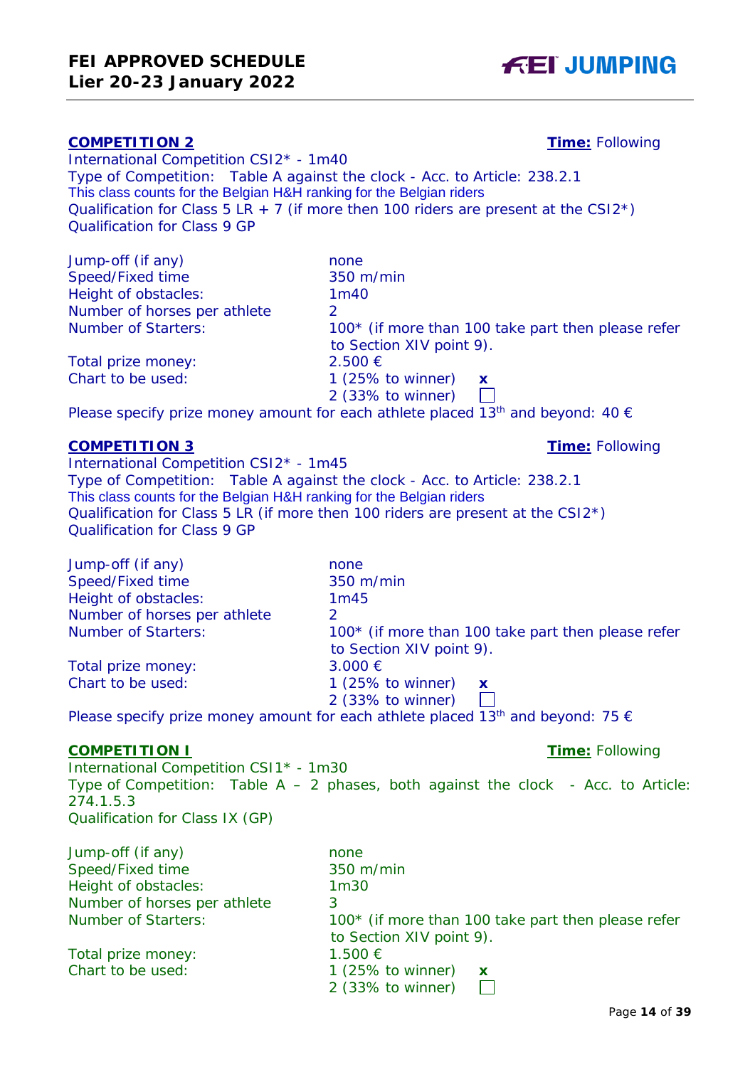# **Lier 20-23 January 2022**

**FEI APPROVED SCHEDULE**

## **COMPETITION 2 Time:** Following

International Competition CSI2\* - 1m40 Type of Competition: Table A against the clock - Acc. to Article: 238.2.1 This class counts for the Belgian H&H ranking for the Belgian riders Qualification for Class  $5$  LR + 7 (if more then 100 riders are present at the CSI2<sup>\*</sup>) Qualification for Class 9 GP

| Jump-off (if any)            | none                                               |
|------------------------------|----------------------------------------------------|
| Speed/Fixed time             | 350 m/min                                          |
| Height of obstacles:         | 1 <sub>m40</sub>                                   |
| Number of horses per athlete |                                                    |
| <b>Number of Starters:</b>   | 100* (if more than 100 take part then please refer |
|                              | to Section XIV point 9).                           |
| Total prize money:           | $2.500 \in$                                        |
| Chart to be used:            | 1 (25% to winner) $\boldsymbol{\mathsf{x}}$        |
|                              | 2 (33% to winner)                                  |
|                              |                                                    |

Please specify prize money amount for each athlete placed 13<sup>th</sup> and beyond: 40  $\epsilon$ 

## **COMPETITION 3 Time:** Following

International Competition CSI2\* - 1m45 Type of Competition: Table A against the clock - Acc. to Article: 238.2.1 This class counts for the Belgian H&H ranking for the Belgian riders Qualification for Class 5 LR (if more then 100 riders are present at the CSI2\*) Qualification for Class 9 GP

| Jump-off (if any)            | none                                                                                                                                                                                                                           |
|------------------------------|--------------------------------------------------------------------------------------------------------------------------------------------------------------------------------------------------------------------------------|
| Speed/Fixed time             | 350 m/min                                                                                                                                                                                                                      |
| Height of obstacles:         | 1m45                                                                                                                                                                                                                           |
| Number of horses per athlete |                                                                                                                                                                                                                                |
| <b>Number of Starters:</b>   | 100* (if more than 100 take part then please refer                                                                                                                                                                             |
|                              | to Section XIV point 9).                                                                                                                                                                                                       |
| Total prize money:           | $3.000 \in$                                                                                                                                                                                                                    |
| Chart to be used:            | $1(25\% \text{ to winner})$<br>$\mathbf{x}$                                                                                                                                                                                    |
|                              | 2 (33% to winner)                                                                                                                                                                                                              |
|                              | the contract of the contract of the contract of the contract of the contract of the contract of the contract of the contract of the contract of the contract of the contract of the contract of the contract of the contract o |

Please specify prize money amount for each athlete placed 13<sup>th</sup> and beyond: 75  $\epsilon$ 

### **COMPETITION I Time:** Following

International Competition CSI1\* - 1m30 Type of Competition: Table  $A - 2$  phases, both against the clock - Acc. to Article: 274.1.5.3 Qualification for Class IX (GP)

| Jump-off (if any)            | none                                               |
|------------------------------|----------------------------------------------------|
| Speed/Fixed time             | 350 m/min                                          |
| Height of obstacles:         | 1 <sub>m30</sub>                                   |
| Number of horses per athlete | 3                                                  |
| <b>Number of Starters:</b>   | 100* (if more than 100 take part then please refer |
|                              | to Section XIV point 9).                           |
| Total prize money:           | 1.500 €                                            |
| Chart to be used:            | 1 (25% to winner)<br>$\mathbf{x}$                  |
|                              | $2$ (33% to winner)                                |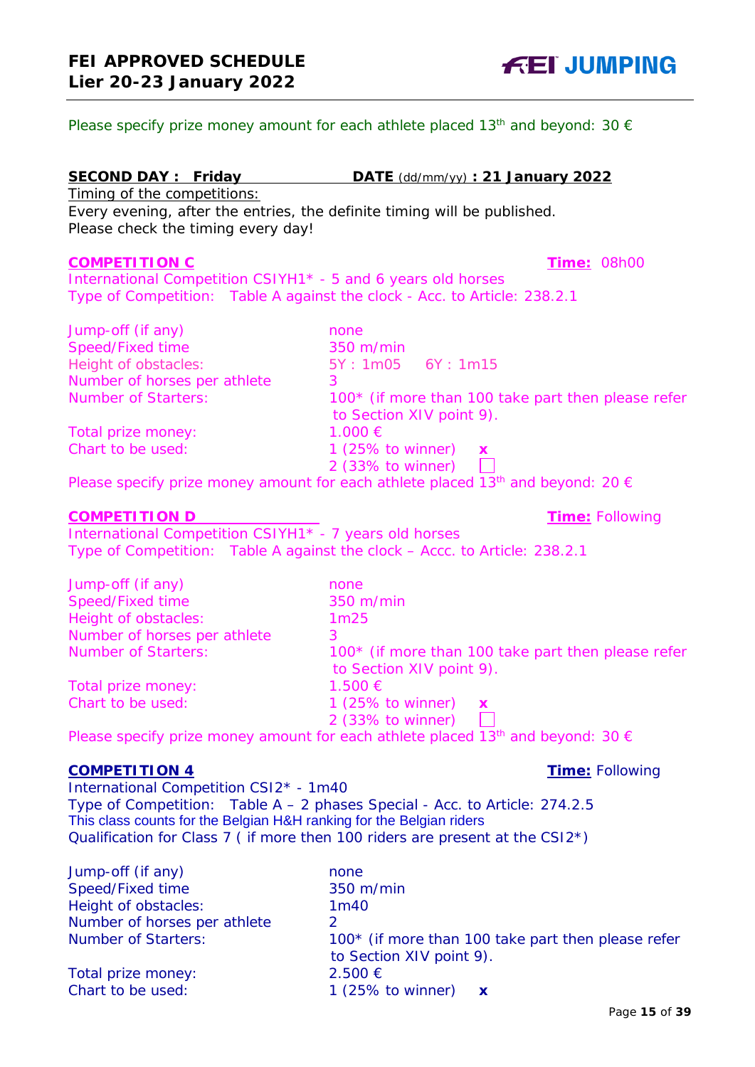Please specify prize money amount for each athlete placed 13<sup>th</sup> and beyond: 30  $\epsilon$ 

### **SECOND DAY : Friday DATE** (dd/mm/yy) **: 21 January 2022**

Timing of the competitions: Every evening, after the entries, the definite timing will be published. Please check the timing every day!

#### **COMPETITION C Time:** 08h00

International Competition CSIYH1\* - 5 and 6 years old horses Type of Competition: Table A against the clock - Acc. to Article: 238.2.1

| none                                                                           |
|--------------------------------------------------------------------------------|
| 350 m/min                                                                      |
| 5Y: 1m05  6Y: 1m15                                                             |
|                                                                                |
| 100* (if more than 100 take part then please refer<br>to Section XIV point 9). |
| 1.000 €                                                                        |
| 1 (25% to winner) $\boldsymbol{x}$<br>2 (33% to winner)                        |
|                                                                                |

Please specify prize money amount for each athlete placed 13<sup>th</sup> and beyond: 20  $\epsilon$ 

#### **COMPETITION D Time:** Following

International Competition CSIYH1\* - 7 years old horses Type of Competition: Table A against the clock – Accc. to Article: 238.2.1

| Jump-off (if any)            | none                                                                           |
|------------------------------|--------------------------------------------------------------------------------|
| Speed/Fixed time             | 350 m/min                                                                      |
| Height of obstacles:         | 1 <sub>m25</sub>                                                               |
| Number of horses per athlete | 3                                                                              |
| <b>Number of Starters:</b>   | 100* (if more than 100 take part then please refer<br>to Section XIV point 9). |
| Total prize money:           | 1.500 €                                                                        |
| Chart to be used:            | 1 $(25\% \text{ to winner})$<br>$\mathbf{x}$<br>2 (33% to winner)              |

Please specify prize money amount for each athlete placed 13<sup>th</sup> and beyond: 30  $\epsilon$ 

#### **COMPETITION 4 Time:** Following

International Competition CSI2\* - 1m40 Type of Competition: Table A – 2 phases Special - Acc. to Article: 274.2.5 This class counts for the Belgian H&H ranking for the Belgian riders Qualification for Class 7 ( if more then 100 riders are present at the CSI2\*)

| Jump-off (if any)            | none                                               |
|------------------------------|----------------------------------------------------|
| Speed/Fixed time             | 350 m/min                                          |
| Height of obstacles:         | 1 <sub>m40</sub>                                   |
| Number of horses per athlete | ာ                                                  |
| <b>Number of Starters:</b>   | 100* (if more than 100 take part then please refer |
|                              | to Section XIV point 9).                           |
| Total prize money:           | $2.500 \in$                                        |
| Chart to be used:            | 1 (25% to winner) $\mathbf x$                      |

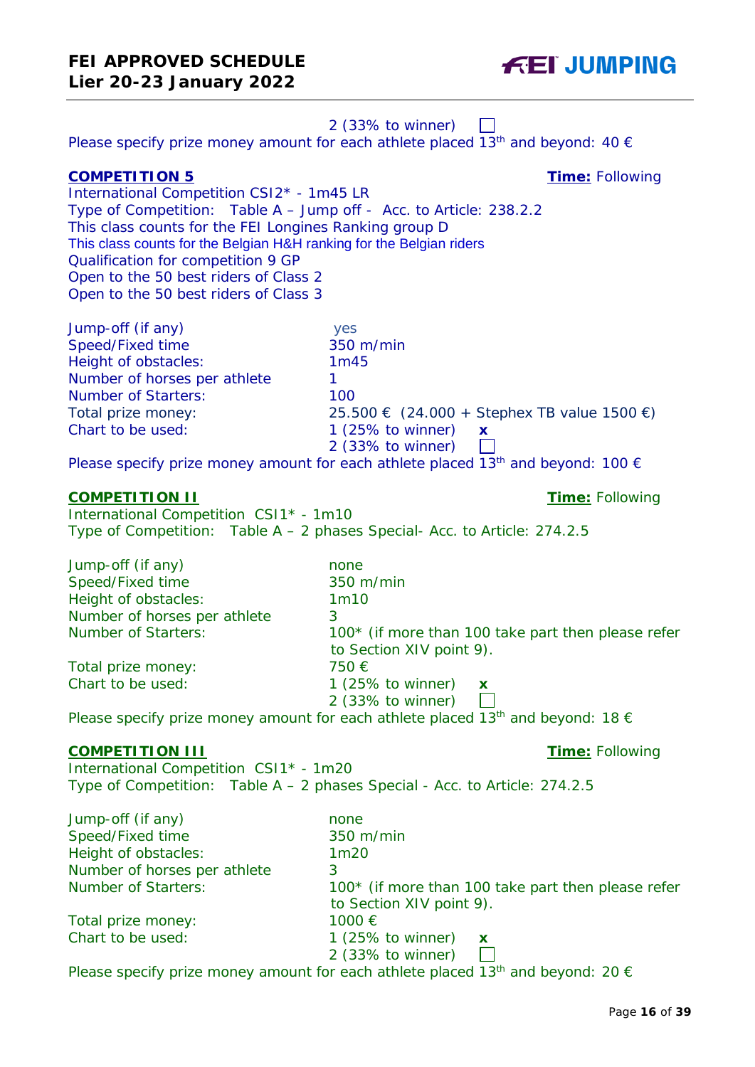## 2 (33% to winner)  $\mathbf{L}$ Please specify prize money amount for each athlete placed 13<sup>th</sup> and beyond: 40  $\epsilon$ **COMPETITION 5 Time:** Following International Competition CSI2\* - 1m45 LR Type of Competition: Table A – Jump off - Acc. to Article: 238.2.2 This class counts for the FEI Longines Ranking group D This class counts for the Belgian H&H ranking for the Belgian riders Qualification for competition 9 GP Open to the 50 best riders of Class 2 Open to the 50 best riders of Class 3 Jump-off (if any) yes Speed/Fixed time Height of obstacles: 1m45 Number of horses per athlete 1 Number of Starters: 100 Total prize money: 25.500  $\in$  (24.000 + Stephex TB value 1500  $\in$ ) Chart to be used: 1 (25% to winner) **x** 2 (33% to winner)  $\Box$ Please specify prize money amount for each athlete placed 13<sup>th</sup> and beyond: 100  $\epsilon$ **COMPETITION II Time:** Following International Competition CSI1\* - 1m10 Type of Competition: Table A – 2 phases Special- Acc. to Article: 274.2.5 Jump-off (if any) none Speed/Fixed time 350 m/min Height of obstacles: 1m10 Number of horses per athlete 3 Number of Starters: 100<sup>\*</sup> (if more than 100 take part then please refer to Section XIV point 9). Total prize money:  $750 \in$ Chart to be used: 1 (25% to winner) **x** 2 (33% to winner) Please specify prize money amount for each athlete placed 13<sup>th</sup> and beyond: 18  $\epsilon$ **COMPETITION III Time:** Following International Competition CSI1\* - 1m20 Type of Competition: Table A – 2 phases Special - Acc. to Article: 274.2.5

| Jump-off (if any)            | none                                                                           |
|------------------------------|--------------------------------------------------------------------------------|
| Speed/Fixed time             | 350 m/min                                                                      |
| Height of obstacles:         | 1 <sub>m20</sub>                                                               |
| Number of horses per athlete | 3                                                                              |
| <b>Number of Starters:</b>   | 100* (if more than 100 take part then please refer<br>to Section XIV point 9). |
| Total prize money:           | 1000€                                                                          |
| Chart to be used:            | 1 $(25\%$ to winner)<br>$\mathbf{x}$                                           |
|                              | 2 (33% to winner)                                                              |
|                              |                                                                                |

Please specify prize money amount for each athlete placed 13<sup>th</sup> and beyond: 20  $\epsilon$ 

**FEI JUMPING**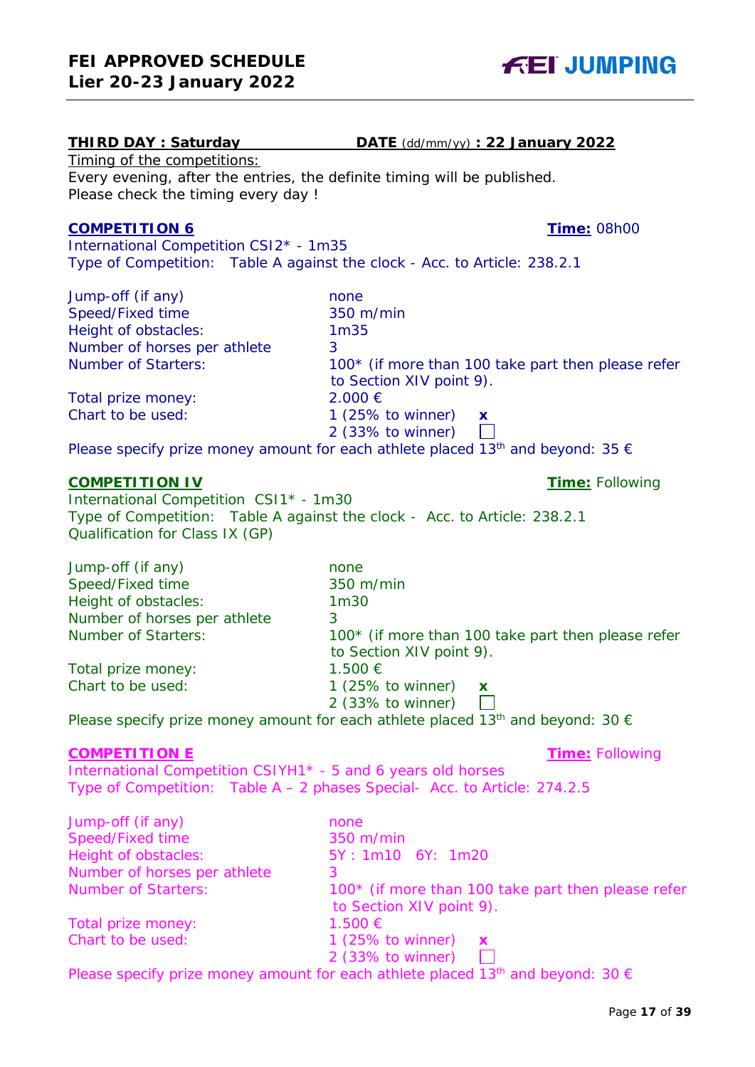## **THIRD DAY : Saturday DATE** (dd/mm/yy) **: 22 January 2022**

Timing of the competitions: Every evening, after the entries, the definite timing will be published. Please check the timing every day !

## **COMPETITION 6 Time:** 08h00

International Competition CSI2\* - 1m35 Type of Competition: Table A against the clock - Acc. to Article: 238.2.1

| Jump-off (if any)            | none                                               |
|------------------------------|----------------------------------------------------|
| Speed/Fixed time             | 350 m/min                                          |
| Height of obstacles:         | 1 <sub>m35</sub>                                   |
| Number of horses per athlete | 3                                                  |
| <b>Number of Starters:</b>   | 100* (if more than 100 take part then please refer |
|                              | to Section XIV point 9).                           |
| Total prize money:           | $2.000 \in$                                        |
| Chart to be used:            | $1(25\% \text{ to winner})$<br>$\mathbf x$         |
|                              | 2 (33% to winner)                                  |
|                              | المطابعين والمتحاول والمنافي والمستحيل والمتحدث    |

Please specify prize money amount for each athlete placed 13<sup>th</sup> and beyond: 35  $\epsilon$ 

## **COMPETITION IV Time:** Following

International Competition CSI1\* - 1m30 Type of Competition: Table A against the clock - Acc. to Article: 238.2.1 Qualification for Class IX (GP)

| Jump-off (if any)              | none                                                                                                                                                                                          |
|--------------------------------|-----------------------------------------------------------------------------------------------------------------------------------------------------------------------------------------------|
| Speed/Fixed time               | 350 m/min                                                                                                                                                                                     |
| Height of obstacles:           | 1 <sub>m30</sub>                                                                                                                                                                              |
| Number of horses per athlete   | 3                                                                                                                                                                                             |
| <b>Number of Starters:</b>     | 100* (if more than 100 take part then please refer                                                                                                                                            |
|                                | to Section XIV point 9).                                                                                                                                                                      |
| Total prize money:             | 1.500 €                                                                                                                                                                                       |
| Chart to be used:              | $1(25\% \text{ to winner})$<br>$\mathbf{x}$                                                                                                                                                   |
|                                | $2$ (33% to winner)                                                                                                                                                                           |
| and the second second results. | $\mathbf{r} \cdot \mathbf{c}$ , $\mathbf{r} \cdot \mathbf{r}$ , $\mathbf{r} \cdot \mathbf{r}$ , $\mathbf{r} \cdot \mathbf{r}$ , $\mathbf{r} \cdot \mathbf{r}$ , $\mathbf{r} \cdot \mathbf{r}$ |

Please specify prize money amount for each athlete placed 13<sup>th</sup> and beyond: 30  $\epsilon$ 

## **COMPETITION E Time:** Following

International Competition CSIYH1\* - 5 and 6 years old horses Type of Competition: Table A – 2 phases Special- Acc. to Article: 274.2.5

| Jump-off (if any)            | none                                                                                                 |
|------------------------------|------------------------------------------------------------------------------------------------------|
| Speed/Fixed time             | 350 m/min                                                                                            |
| Height of obstacles:         | 5Y: 1m10 6Y: 1m20                                                                                    |
| Number of horses per athlete |                                                                                                      |
| <b>Number of Starters:</b>   | 100* (if more than 100 take part then please refer                                                   |
|                              | to Section XIV point 9).                                                                             |
| Total prize money:           | 1.500 €                                                                                              |
| Chart to be used:            | 1 (25% to winner) $\boldsymbol{x}$                                                                   |
|                              | 2 (33% to winner) $\Box$                                                                             |
|                              | Please specify prize money amount for each athlete placed 13 <sup>th</sup> and beyond: 30 $\epsilon$ |

**FEI JUMPING**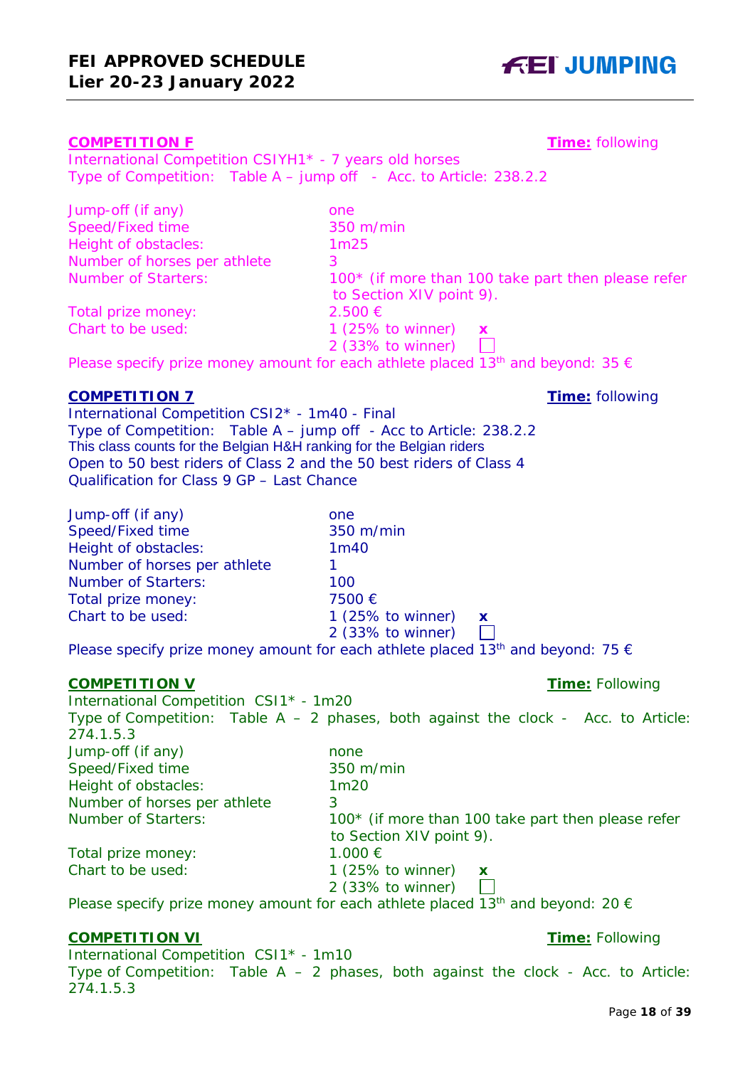#### **COMPETITION F Time:** following

International Competition CSIYH1\* - 7 years old horses Type of Competition: Table A – jump off - Acc. to Article: 238.2.2

| Jump-off (if any)            | one                                                                            |
|------------------------------|--------------------------------------------------------------------------------|
| Speed/Fixed time             | 350 m/min                                                                      |
| Height of obstacles:         | 1 <sub>m25</sub>                                                               |
| Number of horses per athlete | З.                                                                             |
| <b>Number of Starters:</b>   | 100* (if more than 100 take part then please refer<br>to Section XIV point 9). |
| Total prize money:           | $2.500 \in$                                                                    |
| Chart to be used:            | 1 (25% to winner) $\boldsymbol{x}$<br>2 (33% to winner)                        |

Please specify prize money amount for each athlete placed 13<sup>th</sup> and beyond: 35  $\epsilon$ 

## **COMPETITION 7 Time:** following

International Competition CSI2\* - 1m40 - Final Type of Competition: Table A – jump off - Acc to Article: 238.2.2 This class counts for the Belgian H&H ranking for the Belgian riders Open to 50 best riders of Class 2 and the 50 best riders of Class 4 Qualification for Class 9 GP – Last Chance

| Jump-off (if any)            | one                                          |
|------------------------------|----------------------------------------------|
| Speed/Fixed time             | 350 m/min                                    |
| Height of obstacles:         | 1 <sub>m40</sub>                             |
| Number of horses per athlete |                                              |
| <b>Number of Starters:</b>   | 100                                          |
| Total prize money:           | 7500€                                        |
| Chart to be used:            | 1 $(25\% \text{ to winner})$<br>$\mathbf{x}$ |
|                              | 2 (33% to winner)                            |

Please specify prize money amount for each athlete placed 13<sup>th</sup> and beyond: 75  $\epsilon$ 

## **COMPETITION V Time:** Following

International Competition CSI1\* - 1m20 Type of Competition: Table  $A - 2$  phases, both against the clock - Acc. to Article: 274.1.5.3 Jump-off (if any) none Speed/Fixed time 350 m/min Height of obstacles: 1m20 Number of horses per athlete 3 Number of Starters: 100<sup>\*</sup> (if more than 100 take part then please refer to Section XIV point 9). Total prize money:  $1.000 \in$ Chart to be used: 1 (25% to winner) **x** 2 (33% to winner)  $\Box$ 

Please specify prize money amount for each athlete placed 13<sup>th</sup> and beyond: 20  $\epsilon$ 

## **COMPETITION VI Time:** Following

International Competition CSI1\* - 1m10 Type of Competition: Table  $A - 2$  phases, both against the clock - Acc. to Article: 274.1.5.3

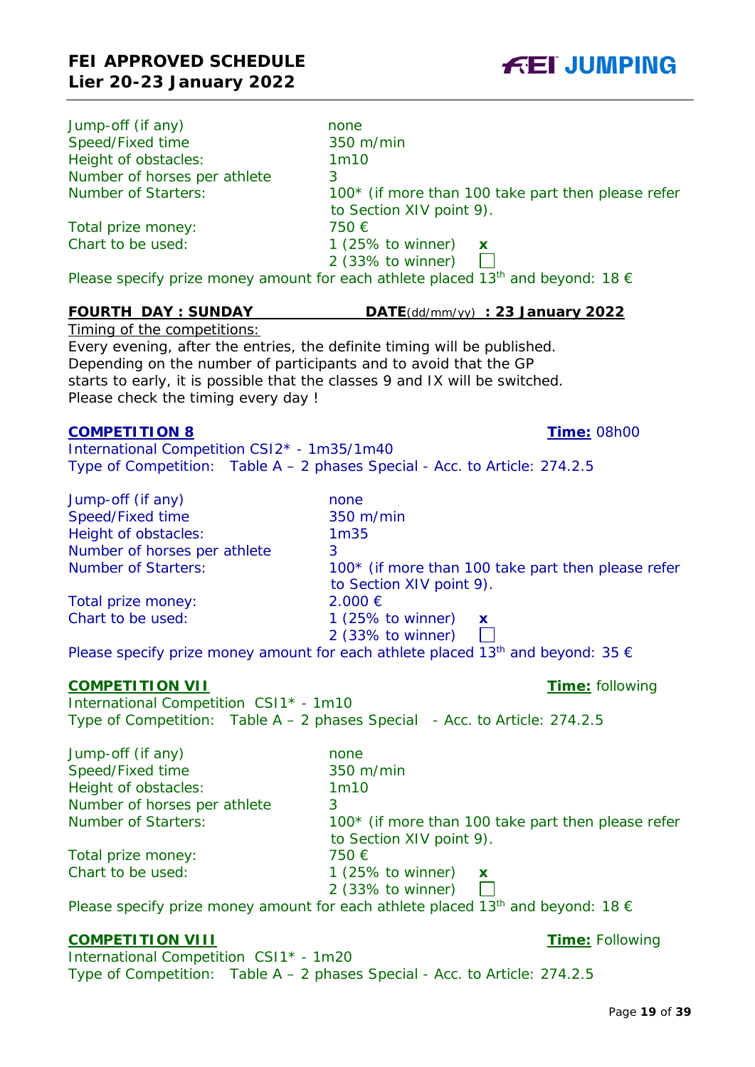| Jump-off (if any)            | none                                                                                     |  |
|------------------------------|------------------------------------------------------------------------------------------|--|
| Speed/Fixed time             | 350 m/min                                                                                |  |
| Height of obstacles:         | 1m10                                                                                     |  |
| Number of horses per athlete | 3                                                                                        |  |
| <b>Number of Starters:</b>   | 100* (if more than 100 take part then please refer                                       |  |
|                              | to Section XIV point 9).                                                                 |  |
| Total prize money:           | 750 €                                                                                    |  |
| Chart to be used:            | $1(25\% \text{ to winner})$<br>$\mathbf{x}$                                              |  |
|                              | $2$ (33% to winner)                                                                      |  |
|                              | Dlogso specify prize mappy amount for each athlete placed 12th and beyond: 18 $\epsilon$ |  |

Please specify prize money amount for each athlete placed 13 $^{\mathrm{m}}$  and beyond: 18  $\in$ 

## **FOURTH DAY : SUNDAY DATE**(dd/mm/yy) **: 23 January 2022**

Timing of the competitions: Every evening, after the entries, the definite timing will be published. Depending on the number of participants and to avoid that the GP starts to early, it is possible that the classes 9 and IX will be switched. Please check the timing every day !

#### **COMPETITION 8 Time:** 08h00

International Competition CSI2\* - 1m35/1m40 Type of Competition: Table A – 2 phases Special - Acc. to Article: 274.2.5

| Jump-off (if any)            | none                                               |
|------------------------------|----------------------------------------------------|
| Speed/Fixed time             | 350 m/min                                          |
| Height of obstacles:         | 1 <sub>m35</sub>                                   |
| Number of horses per athlete | 3                                                  |
| <b>Number of Starters:</b>   | 100* (if more than 100 take part then please refer |
|                              | to Section XIV point 9).                           |
| Total prize money:           | $2.000 \in$                                        |
| Chart to be used:            | 1 (25% to winner) $\boldsymbol{\mathsf{x}}$        |
|                              | 2 (33% to winner)                                  |

Please specify prize money amount for each athlete placed 13<sup>th</sup> and beyond: 35  $\epsilon$ 

#### **COMPETITION VII Time:** following

International Competition CSI1\* - 1m10 Type of Competition: Table  $A - 2$  phases Special - Acc. to Article: 274.2.5

| Jump-off (if any)            | none                                               |
|------------------------------|----------------------------------------------------|
| Speed/Fixed time             | 350 m/min                                          |
| Height of obstacles:         | 1 <sub>m10</sub>                                   |
| Number of horses per athlete | 3                                                  |
| <b>Number of Starters:</b>   | 100* (if more than 100 take part then please refer |
|                              | to Section XIV point 9).                           |
| Total prize money:           | 750 €                                              |
| Chart to be used:            | 1 (25% to winner)<br>$\mathbf x$                   |
|                              | $2$ (33% to winner)                                |
|                              | <b>Contract Contract Contract Contract</b>         |

Please specify prize money amount for each athlete placed 13<sup>th</sup> and beyond: 18  $\epsilon$ 

## **COMPETITION VIII Time:** Following

International Competition CSI1\* - 1m20 Type of Competition: Table A – 2 phases Special - Acc. to Article: 274.2.5

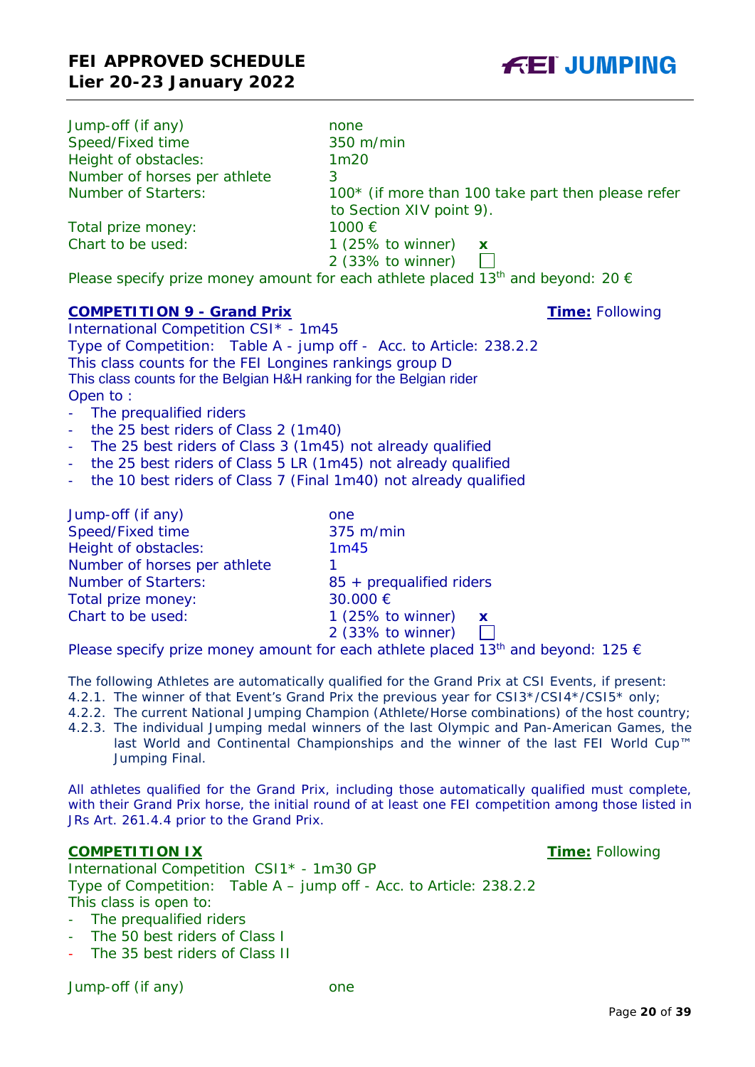| Jump-off (if any)            | none                                                                                                 |  |
|------------------------------|------------------------------------------------------------------------------------------------------|--|
| Speed/Fixed time             | 350 m/min                                                                                            |  |
| Height of obstacles:         | 1m20                                                                                                 |  |
| Number of horses per athlete | 3                                                                                                    |  |
| <b>Number of Starters:</b>   | 100* (if more than 100 take part then please refer                                                   |  |
|                              | to Section XIV point 9).                                                                             |  |
| Total prize money:           | 1000 €                                                                                               |  |
| Chart to be used:            | 1 $(25\% \text{ to winner})$<br>$\mathbf{x}$                                                         |  |
|                              | $2$ (33% to winner)                                                                                  |  |
|                              | Please specify prize money amount for each athlete placed 13 <sup>th</sup> and beyond: 20 $\epsilon$ |  |

## **COMPETITION 9 - Grand Prix Time:** Following

International Competition CSI\* - 1m45 Type of Competition: Table A - jump off - Acc. to Article: 238.2.2 This class counts for the FEI Longines rankings group D This class counts for the Belgian H&H ranking for the Belgian rider Open to :

- The prequalified riders
- the 25 best riders of Class 2 (1m40)
- The 25 best riders of Class 3 (1m45) not already qualified
- the 25 best riders of Class 5 LR (1m45) not already qualified
- the 10 best riders of Class 7 (Final 1m40) not already qualified

| Jump-off (if any)            | one                                         |
|------------------------------|---------------------------------------------|
| Speed/Fixed time             | 375 m/min                                   |
| Height of obstacles:         | 1m45                                        |
| Number of horses per athlete | 1.                                          |
| <b>Number of Starters:</b>   | 85 + prequalified riders                    |
| Total prize money:           | 30.000 €                                    |
| Chart to be used:            | $1(25\% \text{ to winner})$<br>$\mathbf{x}$ |
|                              | 2 (33% to winner)                           |

Please specify prize money amount for each athlete placed 13<sup>th</sup> and beyond: 125  $\epsilon$ 

The following Athletes are automatically qualified for the Grand Prix at CSI Events, if present:

- 4.2.1. The winner of that Event's Grand Prix the previous year for CSI3\*/CSI4\*/CSI5\* only;
- 4.2.2. The current National Jumping Champion (Athlete/Horse combinations) of the host country;
- 4.2.3. The individual Jumping medal winners of the last Olympic and Pan-American Games, the last World and Continental Championships and the winner of the last FEI World Cup™ Jumping Final.

All athletes qualified for the Grand Prix, including those automatically qualified must complete, with their Grand Prix horse, the initial round of at least one FEI competition among those listed in JRs Art. 261.4.4 prior to the Grand Prix.

## **COMPETITION IX COMPETITION IX Time:** Following

International Competition CSI1\* - 1m30 GP Type of Competition: Table A – jump off - Acc. to Article: 238.2.2 This class is open to:

- The prequalified riders
- The 50 best riders of Class I
- The 35 best riders of Class II

Jump-off (if any) one

**FEI JUMPING**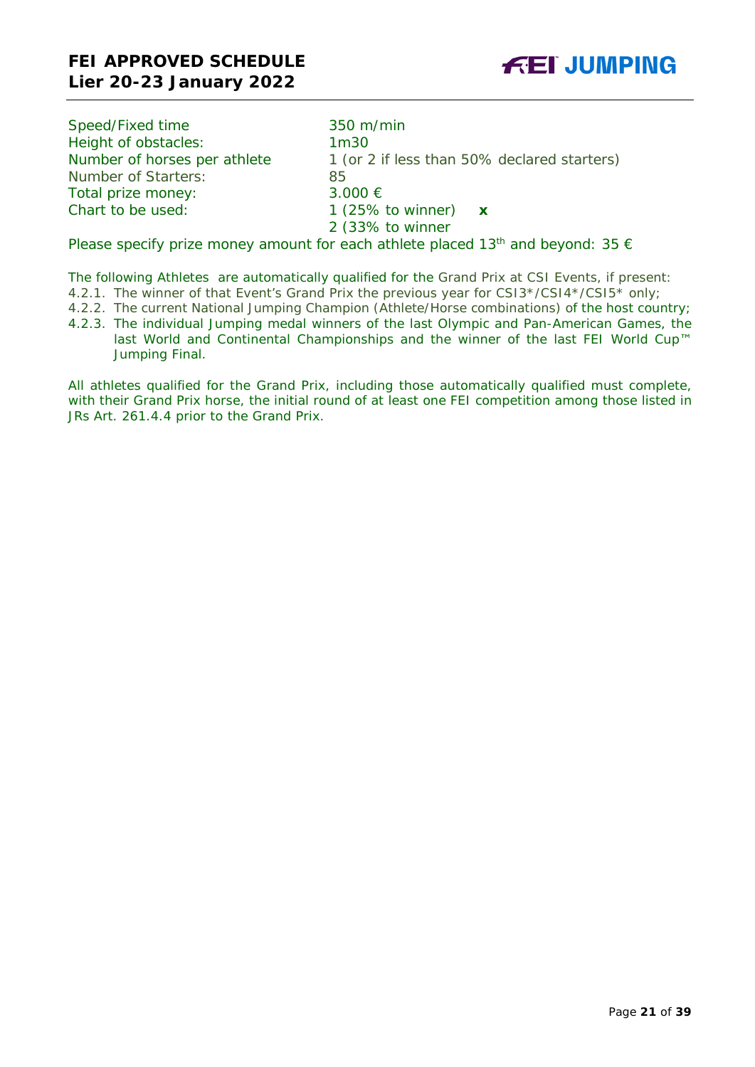

| Speed/Fixed time             | 350 m/min                                                                                            |
|------------------------------|------------------------------------------------------------------------------------------------------|
| Height of obstacles:         | 1 <sub>m30</sub>                                                                                     |
| Number of horses per athlete | 1 (or 2 if less than 50% declared starters)                                                          |
| Number of Starters:          | 85                                                                                                   |
| Total prize money:           | 3.000 €                                                                                              |
| Chart to be used:            | 1 (25% to winner) $\mathbf x$                                                                        |
|                              | 2 (33% to winner                                                                                     |
|                              | Please specify prize money amount for each athlete placed 13 <sup>th</sup> and beyond: 35 $\epsilon$ |

The following Athletes are automatically qualified for the Grand Prix at CSI Events, if present:

4.2.1. The winner of that Event's Grand Prix the previous year for CSI3\*/CSI4\*/CSI5\* only;

- 4.2.2. The current National Jumping Champion (Athlete/Horse combinations) of the host country;
- 4.2.3. The individual Jumping medal winners of the last Olympic and Pan-American Games, the last World and Continental Championships and the winner of the last FEI World Cup™ Jumping Final.

All athletes qualified for the Grand Prix, including those automatically qualified must complete, with their Grand Prix horse, the initial round of at least one FEI competition among those listed in JRs Art. 261.4.4 prior to the Grand Prix.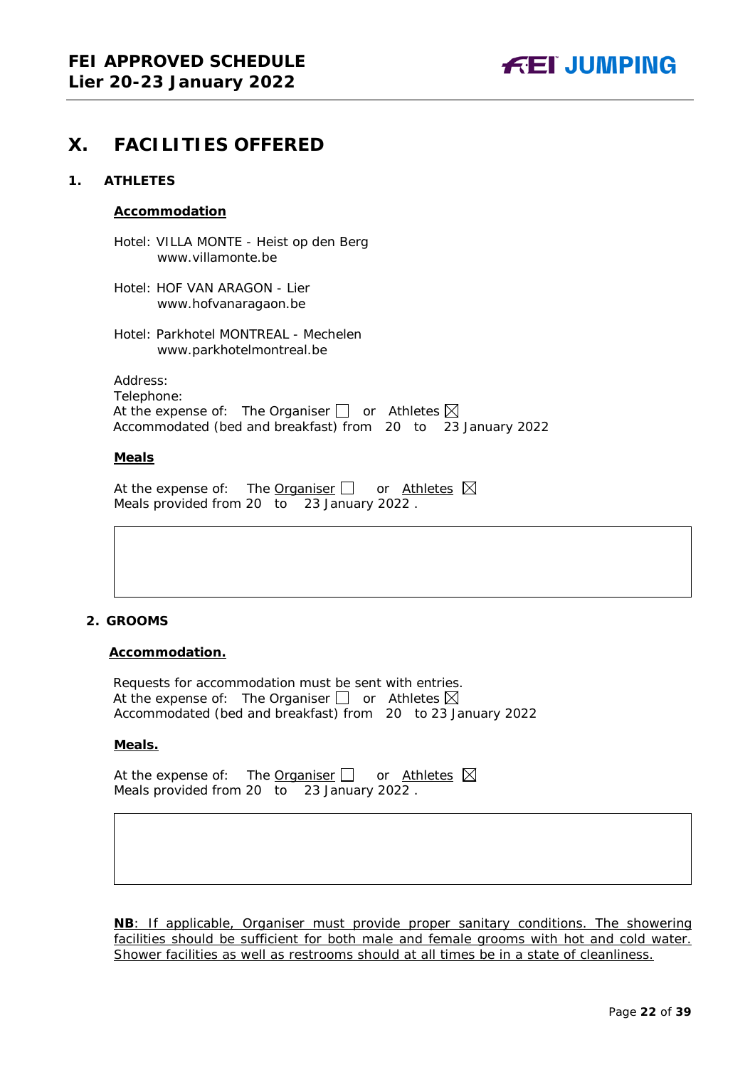

## <span id="page-21-0"></span>**X. FACILITIES OFFERED**

#### <span id="page-21-1"></span>**1. ATHLETES**

#### **Accommodation**

Hotel: VILLA MONTE - Heist op den Berg www.villamonte.be

Hotel: HOF VAN ARAGON - Lier www.hofvanaragaon.be

Hotel: Parkhotel MONTREAL - Mechelen www.parkhotelmontreal.be

Address: Telephone: At the expense of: The Organiser  $\bigsqcup$  or Athletes Accommodated (bed and breakfast) from 20 to 23 January 2022

#### **Meals**

| At the expense of: The <b>Organiser</b> $\Box$ or Athletes $\boxtimes$ |  |  |  |
|------------------------------------------------------------------------|--|--|--|
| Meals provided from 20 to 23 January 2022.                             |  |  |  |

#### <span id="page-21-2"></span>**2. GROOMS**

#### **Accommodation.**

Requests for accommodation must be sent with entries. At the expense of: The Organiser  $\Box$  or Athletes  $\boxtimes$ Accommodated (bed and breakfast) from 20 to 23 January 2022

#### **Meals.**

At the expense of: The Organiser  $\Box$  or Athletes  $\boxtimes$ Meals provided from 20 to 23 January 2022 .

**NB**: If applicable, Organiser must provide proper sanitary conditions. The showering facilities should be sufficient for both male and female grooms with hot and cold water. Shower facilities as well as restrooms should at all times be in a state of cleanliness.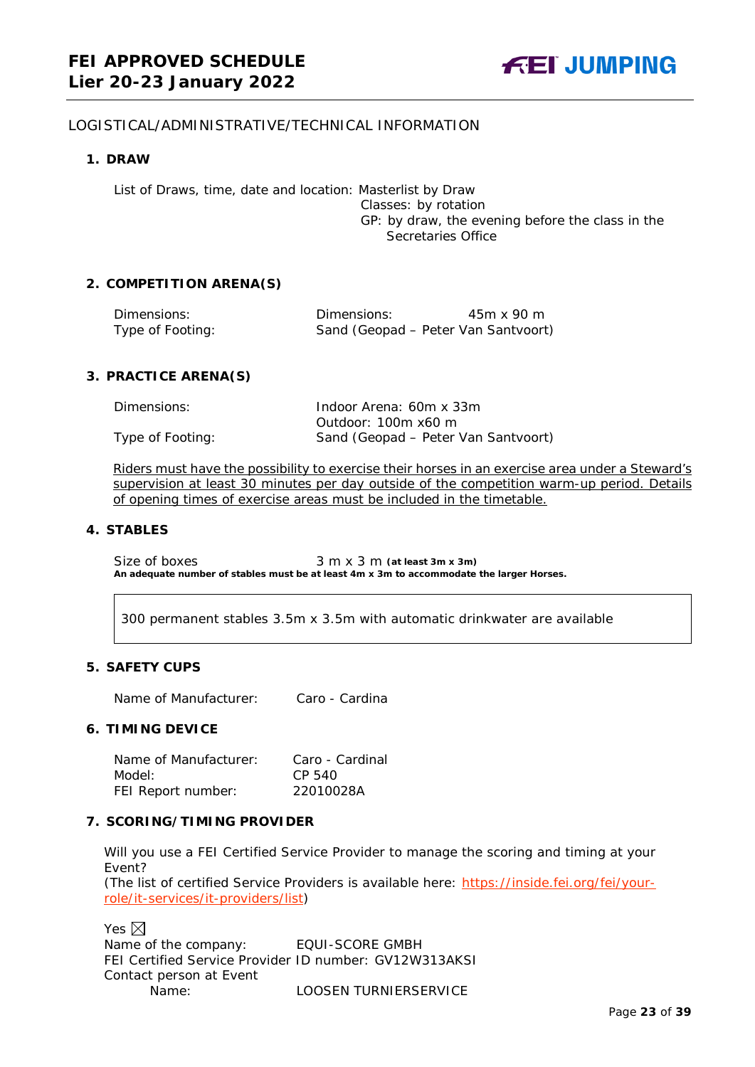#### <span id="page-22-0"></span>LOGISTICAL/ADMINISTRATIVE/TECHNICAL INFORMATION

#### <span id="page-22-1"></span>**1. DRAW**

List of Draws, time, date and location: Masterlist by Draw Classes: by rotation GP: by draw, the evening before the class in the Secretaries Office

#### <span id="page-22-2"></span>**2. COMPETITION ARENA(S)**

| Dimensions:      | Dimensions:                         | 45m x 90 m |
|------------------|-------------------------------------|------------|
| Type of Footing: | Sand (Geopad – Peter Van Santvoort) |            |

#### <span id="page-22-3"></span>**3. PRACTICE ARENA(S)**

| Dimensions:      | Indoor Arena: 60m x 33m             |
|------------------|-------------------------------------|
|                  | Outdoor: 100m x60 m                 |
| Type of Footing: | Sand (Geopad – Peter Van Santvoort) |

Riders must have the possibility to exercise their horses in an exercise area under a Steward's supervision at least 30 minutes per day outside of the competition warm-up period. Details of opening times of exercise areas must be included in the timetable.

#### <span id="page-22-4"></span>**4. STABLES**

Size of boxes 3 m x 3 m (at least 3m x 3m) **An adequate number of stables must be at least 4m x 3m to accommodate the larger Horses.**

300 permanent stables 3.5m x 3.5m with automatic drinkwater are available

#### <span id="page-22-5"></span>**5. SAFETY CUPS**

Name of Manufacturer: Caro - Cardina

#### <span id="page-22-6"></span>**6. TIMING DEVICE**

Name of Manufacturer: Caro - Cardinal Model: CP 540 FEI Report number: 22010028A

#### <span id="page-22-7"></span>**7. SCORING/TIMING PROVIDER**

Will you use a FEI Certified Service Provider to manage the scoring and timing at your Event?

*(The list of certified Service Providers is available here:* [https://inside.fei.org/fei/your](https://inside.fei.org/fei/your-role/it-services/it-providers/list)[role/it-services/it-providers/list](https://inside.fei.org/fei/your-role/it-services/it-providers/list)*)*

Yes  $\boxtimes$ Name of the company: EQUI-SCORE GMBH FEI Certified Service Provider ID number: GV12W313AKSI Contact person at Event Name: LOOSEN TURNIERSERVICE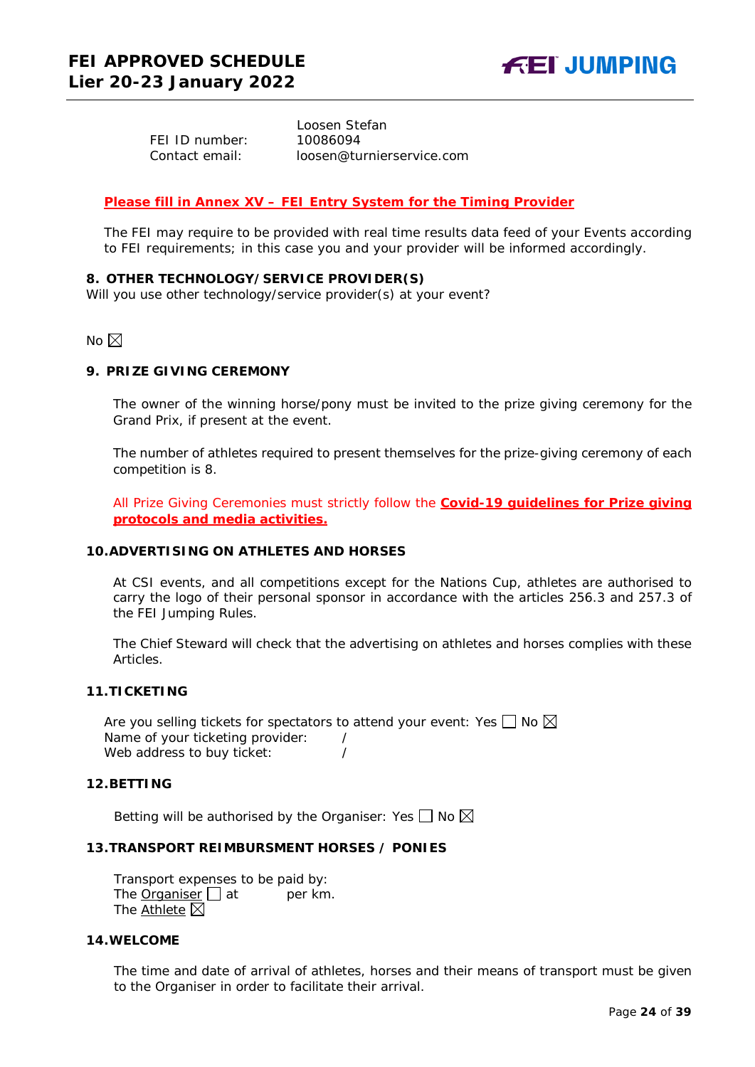FEI ID number: 10086094

 Loosen Stefan Contact email: loosen@turnierservice.com

#### *Please fill in Annex XV – FEI Entry System for the Timing Provider*

The FEI may require to be provided with real time results data feed of your Events according to FEI requirements; in this case you and your provider will be informed accordingly.

#### <span id="page-23-0"></span>**8. OTHER TECHNOLOGY/SERVICE PROVIDER(S)**

Will you use other technology/service provider(s) at your event?

No  $\boxtimes$ 

#### <span id="page-23-1"></span>**9. PRIZE GIVING CEREMONY**

The owner of the winning horse/pony must be invited to the prize giving ceremony for the Grand Prix, if present at the event.

The number of athletes required to present themselves for the prize-giving ceremony of each competition is 8.

All Prize Giving Ceremonies must strictly follow the **Covid-19 guidelines for Prize giving protocols and media activities.**

#### <span id="page-23-2"></span>**10.ADVERTISING ON ATHLETES AND HORSES**

At CSI events, and all competitions except for the Nations Cup, athletes are authorised to carry the logo of their personal sponsor in accordance with the articles 256.3 and 257.3 of the FEI Jumping Rules.

The Chief Steward will check that the advertising on athletes and horses complies with these Articles.

#### <span id="page-23-3"></span>**11.TICKETING**

Are you selling tickets for spectators to attend your event: Yes  $\Box$  No  $\boxtimes$ Name of your ticketing provider: / Web address to buy ticket:  $\frac{1}{2}$ 

#### <span id="page-23-4"></span>**12.BETTING**

Betting will be authorised by the Organiser: Yes  $\Box$  No  $\boxtimes$ 

#### <span id="page-23-5"></span>**13.TRANSPORT REIMBURSMENT HORSES / PONIES**

Transport expenses to be paid by: The **Organiser**  $\Box$  at per km. The Athlete  $\boxtimes$ 

#### <span id="page-23-6"></span>**14.WELCOME**

The time and date of arrival of athletes, horses and their means of transport must be given to the Organiser in order to facilitate their arrival.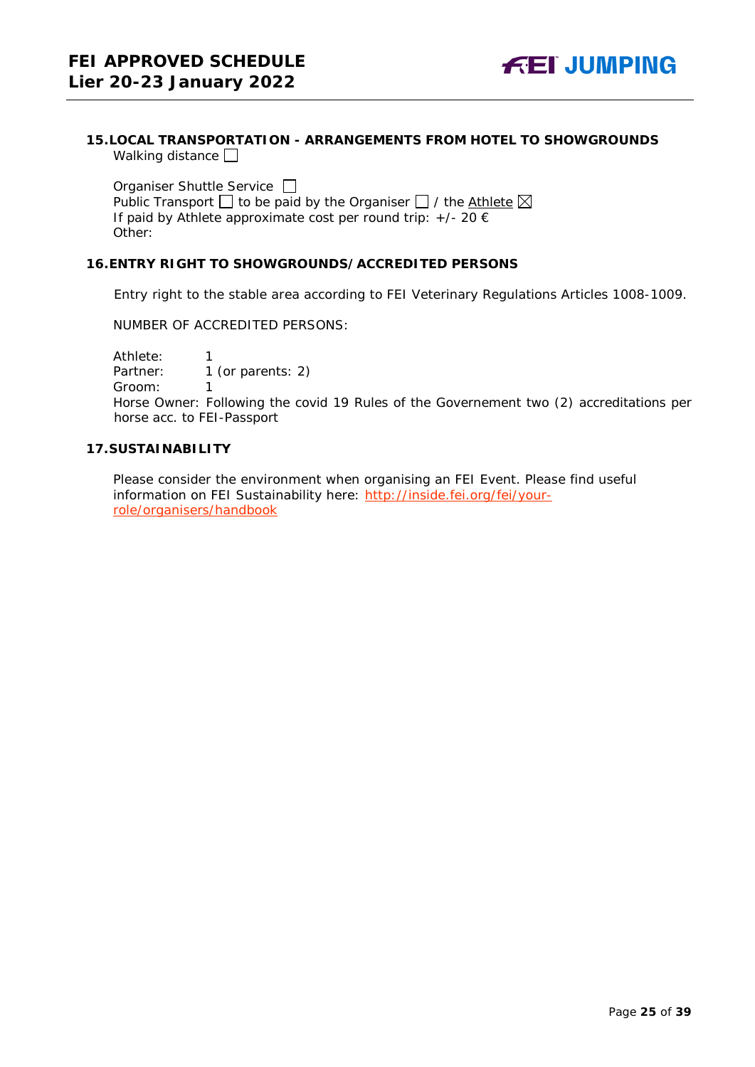#### <span id="page-24-0"></span>**15.LOCAL TRANSPORTATION - ARRANGEMENTS FROM HOTEL TO SHOWGROUNDS** Walking distance  $\square$

Organiser Shuttle Service  $\Box$ Public Transport  $\Box$  to be paid by the Organiser  $\Box$  / the Athlete  $\boxtimes$ If paid by Athlete approximate cost per round trip:  $+/- 20 \in$ Other:

#### <span id="page-24-1"></span>**16.ENTRY RIGHT TO SHOWGROUNDS/ACCREDITED PERSONS**

Entry right to the stable area according to FEI Veterinary Regulations Articles 1008-1009.

NUMBER OF ACCREDITED PERSONS:

Athlete: 1<br>Partner: 1 1 (or parents: 2)

Groom: 1

Horse Owner: Following the covid 19 Rules of the Governement two (2) accreditations per horse acc. to FEI-Passport

#### <span id="page-24-2"></span>**17.SUSTAINABILITY**

Please consider the environment when organising an FEI Event. Please find useful information on FEI Sustainability here: [http://inside.fei.org/fei/your](http://inside.fei.org/fei/your-role/organisers/handbook)[role/organisers/handbook](http://inside.fei.org/fei/your-role/organisers/handbook)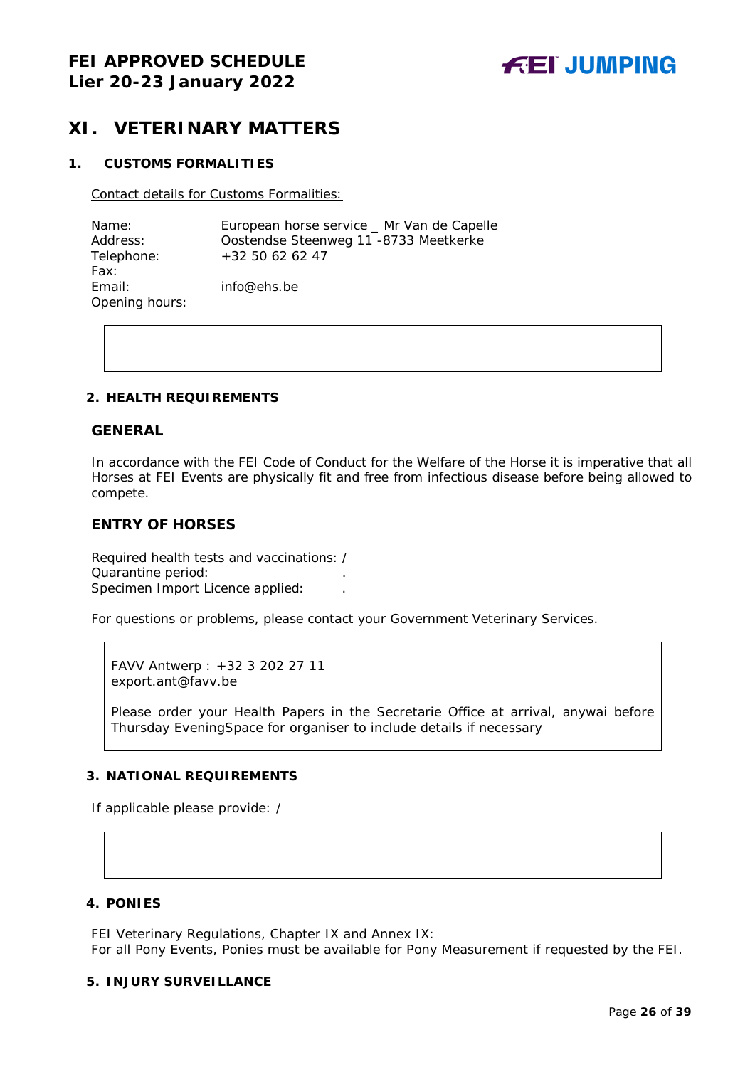## <span id="page-25-0"></span>**XI. VETERINARY MATTERS**

#### <span id="page-25-1"></span>**1. CUSTOMS FORMALITIES**

Contact details for Customs Formalities:

| Name:          | European horse service _ Mr Van de Capelle |
|----------------|--------------------------------------------|
| Address:       | Oostendse Steenweg 11 -8733 Meetkerke      |
| Telephone:     | +32 50 62 62 47                            |
| Fax:           |                                            |
| Email:         | info@ehs.be                                |
| Opening hours: |                                            |

#### <span id="page-25-2"></span>**2. HEALTH REQUIREMENTS**

#### **GENERAL**

In accordance with the FEI Code of Conduct for the Welfare of the Horse it is imperative that all Horses at FEI Events are physically fit and free from infectious disease before being allowed to compete.

#### **ENTRY OF HORSES**

Required health tests and vaccinations: / Quarantine period: . Specimen Import Licence applied: .

For questions or problems, please contact your Government Veterinary Services.

FAVV Antwerp : +32 3 202 27 11 export.ant@favv.be

Please order your Health Papers in the Secretarie Office at arrival, anywai before Thursday EveningSpace for organiser to include details if necessary

#### <span id="page-25-3"></span>**3. NATIONAL REQUIREMENTS**

If applicable please provide: /

#### <span id="page-25-4"></span>**4. PONIES**

FEI Veterinary Regulations, Chapter IX and Annex IX: For all Pony Events, Ponies must be available for Pony Measurement if requested by the FEI.

#### <span id="page-25-5"></span>**5. INJURY SURVEILLANCE**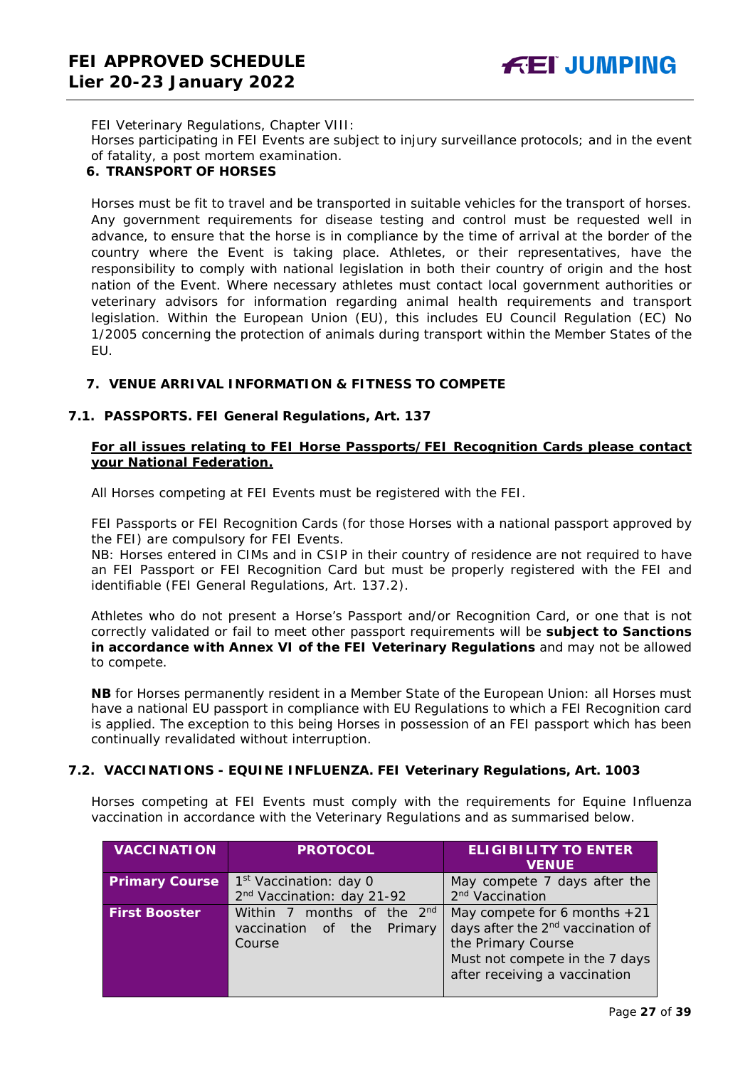FEI Veterinary Regulations, Chapter VIII:

Horses participating in FEI Events are subject to injury surveillance protocols; and in the event of fatality, a post mortem examination.

#### <span id="page-26-0"></span>**6. TRANSPORT OF HORSES**

Horses must be fit to travel and be transported in suitable vehicles for the transport of horses. Any government requirements for disease testing and control must be requested well in advance, to ensure that the horse is in compliance by the time of arrival at the border of the country where the Event is taking place. Athletes, or their representatives, have the responsibility to comply with national legislation in both their country of origin and the host nation of the Event. Where necessary athletes must contact local government authorities or veterinary advisors for information regarding animal health requirements and transport legislation. Within the European Union (EU), this includes EU Council Regulation (EC) No 1/2005 concerning the protection of animals during transport within the Member States of the EU.

#### <span id="page-26-1"></span>**7. VENUE ARRIVAL INFORMATION & FITNESS TO COMPETE**

#### **7.1. PASSPORTS. FEI General Regulations, Art. 137**

#### **For all issues relating to FEI Horse Passports/FEI Recognition Cards please contact your National Federation.**

All Horses competing at FEI Events must be registered with the FEI.

FEI Passports or FEI Recognition Cards (for those Horses with a national passport approved by the FEI) are compulsory for FEI Events.

NB: Horses entered in CIMs and in CSIP in their country of residence are not required to have an FEI Passport or FEI Recognition Card but must be properly registered with the FEI and identifiable (FEI General Regulations, Art. 137.2).

Athletes who do not present a Horse's Passport and/or Recognition Card, or one that is not correctly validated or fail to meet other passport requirements will be **subject to Sanctions in accordance with Annex VI of the FEI Veterinary Regulations** and may not be allowed to compete.

**NB** for Horses permanently resident in a Member State of the European Union: all Horses must have a national EU passport in compliance with EU Regulations to which a FEI Recognition card is applied. The exception to this being Horses in possession of an FEI passport which has been continually revalidated without interruption.

#### **7.2. VACCINATIONS - EQUINE INFLUENZA. FEI Veterinary Regulations, Art. 1003**

Horses competing at FEI Events must comply with the requirements for Equine Influenza vaccination in accordance with the Veterinary Regulations and as summarised below.

| <b>VACCINATION</b>    | <b>PROTOCOL</b>                    | <b>ELIGIBILITY TO ENTER</b><br><b>VENUE</b>   |
|-----------------------|------------------------------------|-----------------------------------------------|
| <b>Primary Course</b> | 1 <sup>st</sup> Vaccination: day 0 | May compete 7 days after the                  |
|                       | 2nd Vaccination: day 21-92         | 2 <sup>nd</sup> Vaccination                   |
| <b>First Booster</b>  | Within 7 months of the 2nd         | May compete for 6 months $+21$                |
|                       | Primary<br>vaccination of the      | days after the 2 <sup>nd</sup> vaccination of |
|                       | Course                             | the Primary Course                            |
|                       |                                    | Must not compete in the 7 days                |
|                       |                                    | after receiving a vaccination                 |
|                       |                                    |                                               |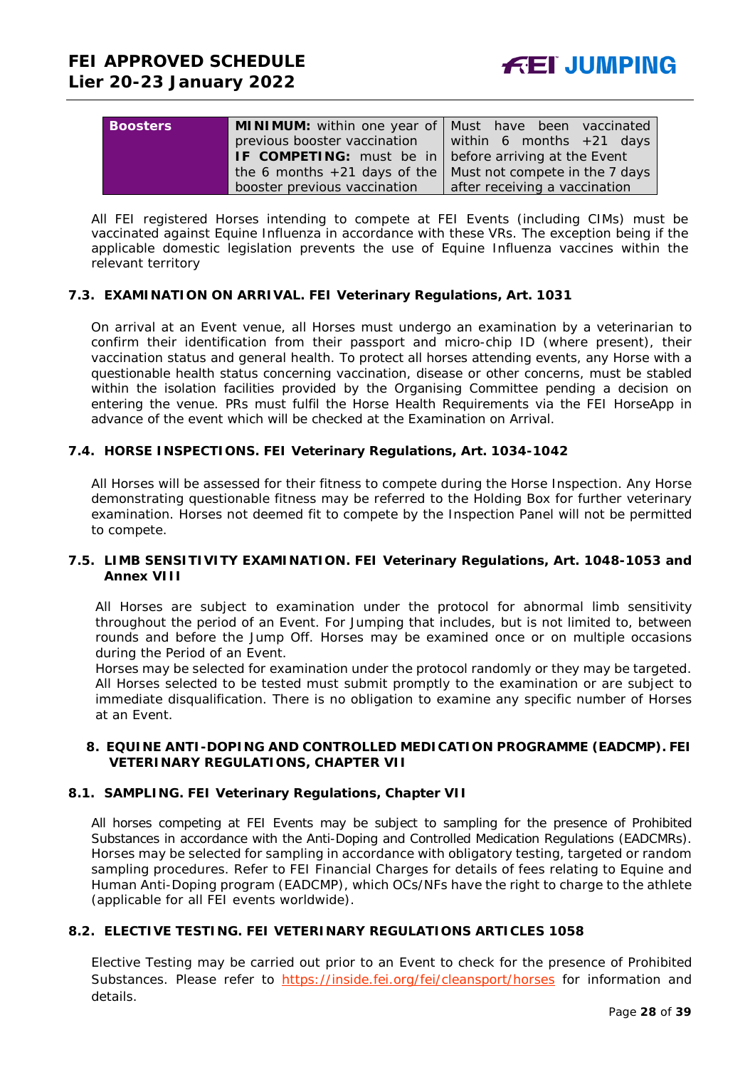| <b>Boosters</b> |                                                                      | <b>MINIMUM:</b> within one year of   Must have been vaccinated |
|-----------------|----------------------------------------------------------------------|----------------------------------------------------------------|
|                 | previous booster vaccination                                         | within 6 months $+21$ days                                     |
|                 | <b>IF COMPETING:</b> must be in $\vert$ before arriving at the Event |                                                                |
|                 | the 6 months $+21$ days of the Must not compete in the 7 days        |                                                                |
|                 | booster previous vaccination                                         | after receiving a vaccination                                  |

All FEI registered Horses intending to compete at FEI Events (including CIMs) must be vaccinated against Equine Influenza in accordance with these VRs. The exception being if the applicable domestic legislation prevents the use of Equine Influenza vaccines within the relevant territory

#### **7.3. EXAMINATION ON ARRIVAL. FEI Veterinary Regulations, Art. 1031**

On arrival at an Event venue, all Horses must undergo an examination by a veterinarian to confirm their identification from their passport and micro-chip ID (where present), their vaccination status and general health. To protect all horses attending events, any Horse with a questionable health status concerning vaccination, disease or other concerns, must be stabled within the isolation facilities provided by the Organising Committee pending a decision on entering the venue. PRs must fulfil the Horse Health Requirements via the FEI HorseApp in advance of the event which will be checked at the Examination on Arrival.

#### **7.4. HORSE INSPECTIONS. FEI Veterinary Regulations, Art. 1034-1042**

All Horses will be assessed for their fitness to compete during the Horse Inspection. Any Horse demonstrating questionable fitness may be referred to the Holding Box for further veterinary examination. Horses not deemed fit to compete by the Inspection Panel will not be permitted to compete.

#### **7.5. LIMB SENSITIVITY EXAMINATION. FEI Veterinary Regulations, Art. 1048-1053 and Annex VIII**

All Horses are subject to examination under the protocol for abnormal limb sensitivity throughout the period of an Event. For Jumping that includes, but is not limited to, between rounds and before the Jump Off. Horses may be examined once or on multiple occasions during the Period of an Event.

Horses may be selected for examination under the protocol randomly or they may be targeted. All Horses selected to be tested must submit promptly to the examination or are subject to immediate disqualification. There is no obligation to examine any specific number of Horses at an Event.

#### <span id="page-27-0"></span>**8. EQUINE ANTI-DOPING AND CONTROLLED MEDICATION PROGRAMME (EADCMP). FEI VETERINARY REGULATIONS, CHAPTER VII**

#### **8.1. SAMPLING. FEI Veterinary Regulations, Chapter VII**

All horses competing at FEI Events may be subject to sampling for the presence of Prohibited Substances in accordance with the Anti-Doping and Controlled Medication Regulations (EADCMRs). Horses may be selected for sampling in accordance with obligatory testing, targeted or random sampling procedures. Refer to FEI Financial Charges for details of fees relating to Equine and Human Anti-Doping program (EADCMP), which OCs/NFs have the right to charge to the athlete (applicable for all FEI events worldwide).

#### **8.2. ELECTIVE TESTING. FEI VETERINARY REGULATIONS ARTICLES 1058**

Elective Testing may be carried out prior to an Event to check for the presence of Prohibited Substances. Please refer to <https://inside.fei.org/fei/cleansport/horses> for information and details.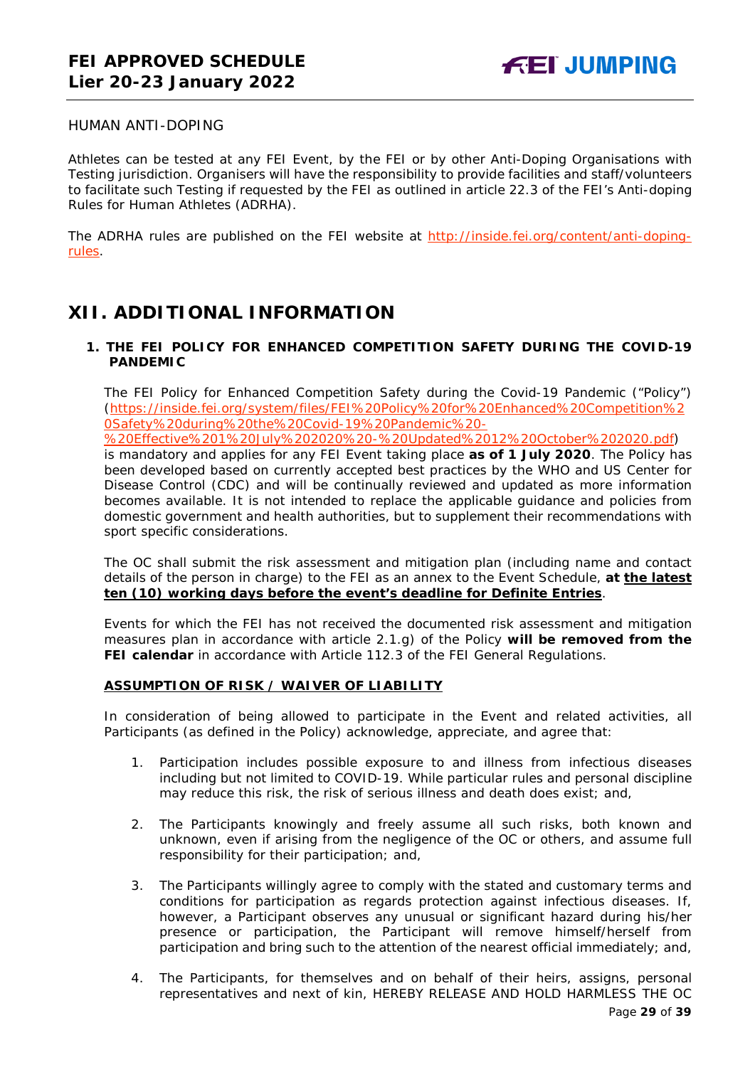#### <span id="page-28-0"></span>HUMAN ANTI-DOPING

Athletes can be tested at any FEI Event, by the FEI or by other Anti-Doping Organisations with Testing jurisdiction. Organisers will have the responsibility to provide facilities and staff/volunteers to facilitate such Testing if requested by the FEI as outlined in article 22.3 of the FEI's Anti-doping Rules for Human Athletes (ADRHA).

The ADRHA rules are published on the FEI website at [http://inside.fei.org/content/anti-doping](http://inside.fei.org/content/anti-doping-rules)[rules.](http://inside.fei.org/content/anti-doping-rules)

## <span id="page-28-1"></span>**XII. ADDITIONAL INFORMATION**

#### <span id="page-28-2"></span>**1. THE FEI POLICY FOR ENHANCED COMPETITION SAFETY DURING THE COVID-19 PANDEMIC**

The FEI Policy for Enhanced Competition Safety during the Covid-19 Pandemic ("Policy") (https://inside.fei.org/system/files/FEI%20Policy%20for%20Enhanced%20Competition%2 0Safety%20during%20the%20Covid-19%20Pandemic%20-

%20Effective%201%20July%202020%20-%20Updated%2012%20October%202020.pdf)

is mandatory and applies for any FEI Event taking place **as of 1 July 2020**. The Policy has been developed based on currently accepted best practices by the WHO and US Center for Disease Control (CDC) and will be continually reviewed and updated as more information becomes available. It is not intended to replace the applicable guidance and policies from domestic government and health authorities, but to supplement their recommendations with sport specific considerations.

The OC shall submit the risk assessment and mitigation plan (including name and contact details of the person in charge) to the FEI as an annex to the Event Schedule, **at the latest ten (10) working days before the event's deadline for Definite Entries**.

Events for which the FEI has not received the documented risk assessment and mitigation measures plan in accordance with article 2.1.g) of the Policy **will be removed from the FEI calendar** in accordance with Article 112.3 of the FEI General Regulations.

#### **ASSUMPTION OF RISK / WAIVER OF LIABILITY**

In consideration of being allowed to participate in the Event and related activities, all Participants (as defined in the Policy) acknowledge, appreciate, and agree that:

- 1. Participation includes possible exposure to and illness from infectious diseases including but not limited to COVID-19. While particular rules and personal discipline may reduce this risk, the risk of serious illness and death does exist; and,
- 2. The Participants knowingly and freely assume all such risks, both known and unknown, even if arising from the negligence of the OC or others, and assume full responsibility for their participation; and,
- 3. The Participants willingly agree to comply with the stated and customary terms and conditions for participation as regards protection against infectious diseases. If, however, a Participant observes any unusual or significant hazard during his/her presence or participation, the Participant will remove himself/herself from participation and bring such to the attention of the nearest official immediately; and,
- 4. The Participants, for themselves and on behalf of their heirs, assigns, personal representatives and next of kin, HEREBY RELEASE AND HOLD HARMLESS THE OC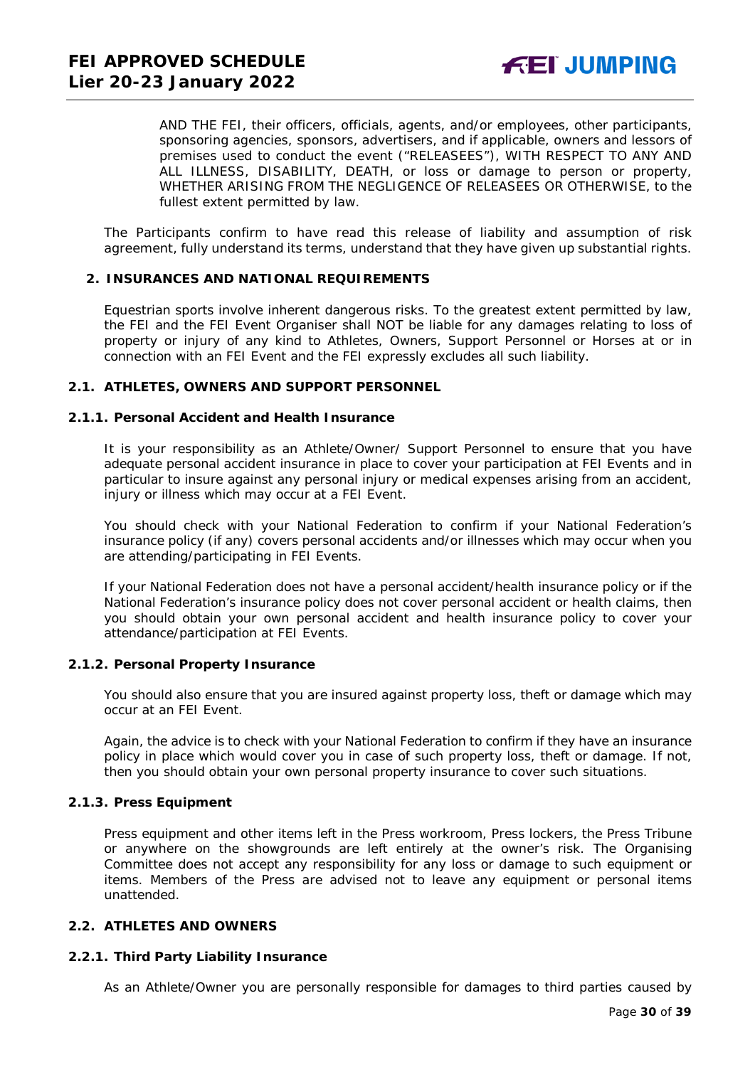AND THE FEI, their officers, officials, agents, and/or employees, other participants, sponsoring agencies, sponsors, advertisers, and if applicable, owners and lessors of premises used to conduct the event ("RELEASEES"), WITH RESPECT TO ANY AND ALL ILLNESS, DISABILITY, DEATH, or loss or damage to person or property, WHETHER ARISING FROM THE NEGLIGENCE OF RELEASEES OR OTHERWISE, to the fullest extent permitted by law.

The Participants confirm to have read this release of liability and assumption of risk agreement, fully understand its terms, understand that they have given up substantial rights.

#### <span id="page-29-0"></span>**2. INSURANCES AND NATIONAL REQUIREMENTS**

Equestrian sports involve inherent dangerous risks. To the greatest extent permitted by law, the FEI and the FEI Event Organiser shall NOT be liable for any damages relating to loss of property or injury of any kind to Athletes, Owners, Support Personnel or Horses at or in connection with an FEI Event and the FEI expressly excludes all such liability.

#### **2.1. ATHLETES, OWNERS AND SUPPORT PERSONNEL**

#### **2.1.1. Personal Accident and Health Insurance**

It is your responsibility as an Athlete/Owner/ Support Personnel to ensure that you have adequate personal accident insurance in place to cover your participation at FEI Events and in particular to insure against any personal injury or medical expenses arising from an accident, injury or illness which may occur at a FEI Event.

You should check with your National Federation to confirm if your National Federation's insurance policy (if any) covers personal accidents and/or illnesses which may occur when you are attending/participating in FEI Events.

If your National Federation does not have a personal accident/health insurance policy or if the National Federation's insurance policy does not cover personal accident or health claims, then you should obtain your own personal accident and health insurance policy to cover your attendance/participation at FEI Events.

#### **2.1.2. Personal Property Insurance**

You should also ensure that you are insured against property loss, theft or damage which may occur at an FEI Event.

Again, the advice is to check with your National Federation to confirm if they have an insurance policy in place which would cover you in case of such property loss, theft or damage. If not, then you should obtain your own personal property insurance to cover such situations.

#### **2.1.3. Press Equipment**

Press equipment and other items left in the Press workroom, Press lockers, the Press Tribune or anywhere on the showgrounds are left entirely at the owner's risk. The Organising Committee does not accept any responsibility for any loss or damage to such equipment or items. Members of the Press are advised not to leave any equipment or personal items unattended.

#### **2.2. ATHLETES AND OWNERS**

#### **2.2.1. Third Party Liability Insurance**

As an Athlete/Owner you are personally responsible for damages to third parties caused by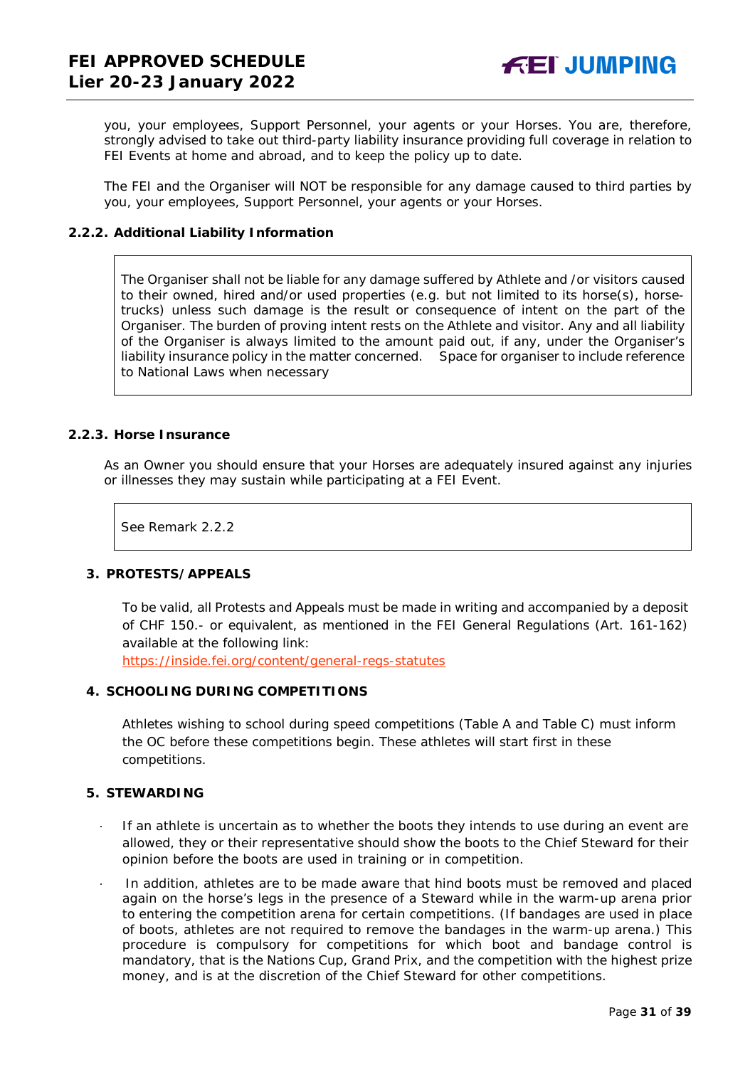you, your employees, Support Personnel, your agents or your Horses. You are, therefore, strongly advised to take out third-party liability insurance providing full coverage in relation to FEI Events at home and abroad, and to keep the policy up to date.

The FEI and the Organiser will NOT be responsible for any damage caused to third parties by you, your employees, Support Personnel, your agents or your Horses.

#### **2.2.2. Additional Liability Information**

The Organiser shall not be liable for any damage suffered by Athlete and /or visitors caused to their owned, hired and/or used properties (e.g. but not limited to its horse(s), horsetrucks) unless such damage is the result or consequence of intent on the part of the Organiser. The burden of proving intent rests on the Athlete and visitor. Any and all liability of the Organiser is always limited to the amount paid out, if any, under the Organiser's liability insurance policy in the matter concerned. Space for organiser to include reference to National Laws when necessary

#### **2.2.3. Horse Insurance**

As an Owner you should ensure that your Horses are adequately insured against any injuries or illnesses they may sustain while participating at a FEI Event.

See Remark 2.2.2

#### <span id="page-30-0"></span>**3. PROTESTS/APPEALS**

To be valid, all Protests and Appeals must be made in writing and accompanied by a deposit of CHF 150.- or equivalent, as mentioned in the FEI General Regulations (Art. 161-162) available at the following link:

<https://inside.fei.org/content/general-regs-statutes>

#### <span id="page-30-1"></span>**4. SCHOOLING DURING COMPETITIONS**

Athletes wishing to school during speed competitions (Table A and Table C) must inform the OC before these competitions begin. These athletes will start first in these competitions.

#### <span id="page-30-2"></span>**5. STEWARDING**

- If an athlete is uncertain as to whether the boots they intends to use during an event are allowed, they or their representative should show the boots to the Chief Steward for their opinion before the boots are used in training or in competition.
- · In addition, athletes are to be made aware that hind boots must be removed and placed again on the horse's legs in the presence of a Steward while in the warm-up arena prior to entering the competition arena for certain competitions. (If bandages are used in place of boots, athletes are not required to remove the bandages in the warm-up arena.) This procedure is compulsory for competitions for which boot and bandage control is mandatory, that is the Nations Cup, Grand Prix, and the competition with the highest prize money, and is at the discretion of the Chief Steward for other competitions.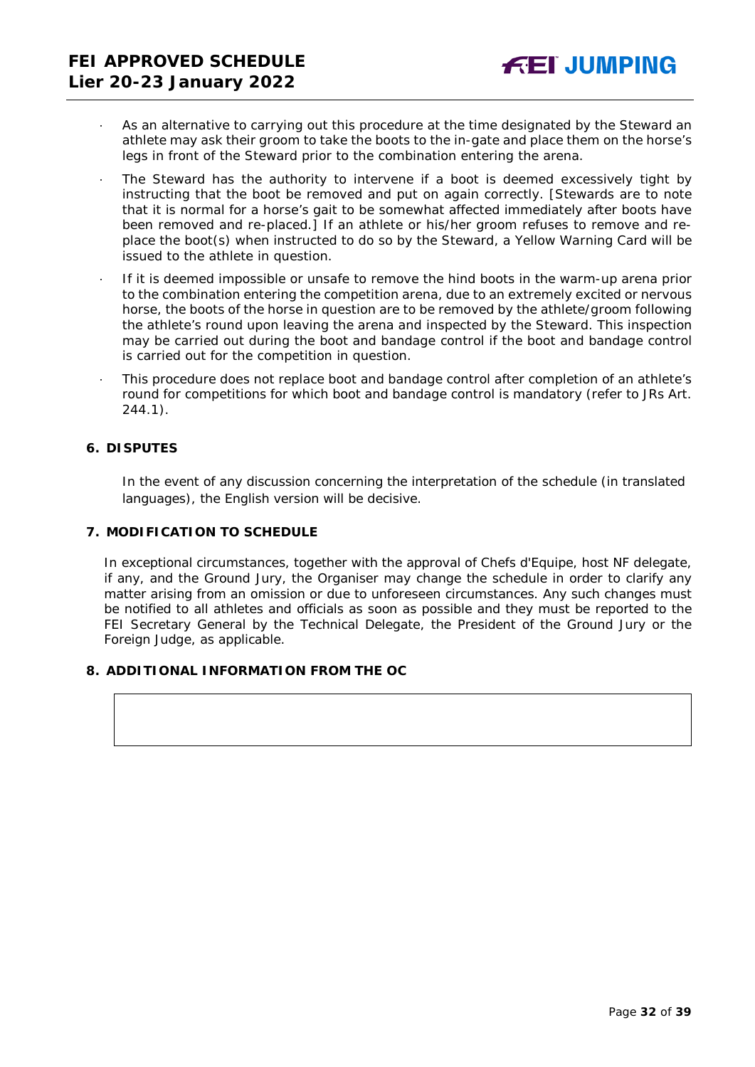- As an alternative to carrying out this procedure at the time designated by the Steward an athlete may ask their groom to take the boots to the in-gate and place them on the horse's legs in front of the Steward prior to the combination entering the arena.
- The Steward has the authority to intervene if a boot is deemed excessively tight by instructing that the boot be removed and put on again correctly. *[Stewards are to note that it is normal for a horse's gait to be somewhat affected immediately after boots have been removed and re-placed.]* If an athlete or his/her groom refuses to remove and replace the boot(s) when instructed to do so by the Steward, a Yellow Warning Card will be issued to the athlete in question.
- If it is deemed impossible or unsafe to remove the hind boots in the warm-up arena prior to the combination entering the competition arena, due to an extremely excited or nervous horse, the boots of the horse in question are to be removed by the athlete/groom following the athlete's round upon leaving the arena and inspected by the Steward. This inspection may be carried out during the boot and bandage control if the boot and bandage control is carried out for the competition in question.
- · This procedure does not replace boot and bandage control after completion of an athlete's round for competitions for which boot and bandage control is mandatory (refer to JRs Art. 244.1).

#### <span id="page-31-0"></span>**6. DISPUTES**

In the event of any discussion concerning the interpretation of the schedule (in translated languages), the English version will be decisive.

#### <span id="page-31-1"></span>**7. MODIFICATION TO SCHEDULE**

In exceptional circumstances, together with the approval of Chefs d'Equipe, host NF delegate, if any, and the Ground Jury, the Organiser may change the schedule in order to clarify any matter arising from an omission or due to unforeseen circumstances. Any such changes must be notified to all athletes and officials as soon as possible and they must be reported to the FEI Secretary General by the Technical Delegate, the President of the Ground Jury or the Foreign Judge, as applicable.

### <span id="page-31-2"></span>**8. ADDITIONAL INFORMATION FROM THE OC**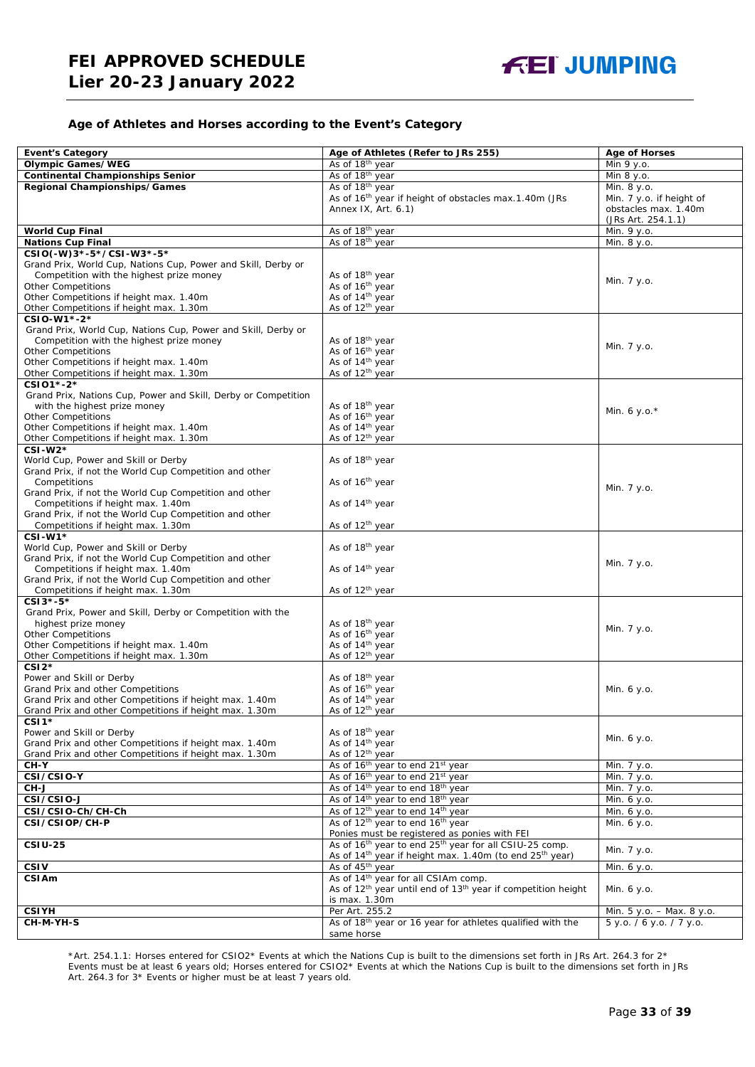#### **Age of Athletes and Horses according to the Event's Category**

| <b>Event's Category</b>                                                                     | Age of Athletes (Refer to JRs 255)                                                                                                                                | <b>Age of Horses</b>      |
|---------------------------------------------------------------------------------------------|-------------------------------------------------------------------------------------------------------------------------------------------------------------------|---------------------------|
| <b>Olympic Games/WEG</b>                                                                    | As of 18 <sup>th</sup> year                                                                                                                                       | Min 9 y.o.                |
| <b>Continental Championships Senior</b>                                                     | As of 18 <sup>th</sup> year                                                                                                                                       | Min 8 y.o.                |
| <b>Regional Championships/Games</b>                                                         | As of 18 <sup>th</sup> year                                                                                                                                       | Min. 8 y.o.               |
|                                                                                             | As of 16 <sup>th</sup> year if height of obstacles max.1.40m (JRs                                                                                                 | Min. 7 y.o. if height of  |
|                                                                                             | Annex IX, Art. 6.1)                                                                                                                                               | obstacles max. 1.40m      |
|                                                                                             |                                                                                                                                                                   | (JRs Art. 254.1.1)        |
| <b>World Cup Final</b>                                                                      | As of 18th year                                                                                                                                                   | Min. 9 y.o.               |
| <b>Nations Cup Final</b>                                                                    | As of 18th year                                                                                                                                                   | Min. 8 y.o.               |
| CSIO(-W)3*-5*/CSI-W3*-5*                                                                    |                                                                                                                                                                   |                           |
| Grand Prix, World Cup, Nations Cup, Power and Skill, Derby or                               |                                                                                                                                                                   |                           |
| Competition with the highest prize money                                                    | As of 18 <sup>th</sup> year                                                                                                                                       | Min. 7 y.o.               |
| <b>Other Competitions</b>                                                                   | As of 16th year                                                                                                                                                   |                           |
| Other Competitions if height max. 1.40m                                                     | As of 14 <sup>th</sup> year                                                                                                                                       |                           |
| Other Competitions if height max. 1.30m                                                     | As of 12 <sup>th</sup> year                                                                                                                                       |                           |
| CSIO-W1*-2*                                                                                 |                                                                                                                                                                   |                           |
| Grand Prix, World Cup, Nations Cup, Power and Skill, Derby or                               |                                                                                                                                                                   |                           |
| Competition with the highest prize money<br><b>Other Competitions</b>                       | As of 18 <sup>th</sup> year<br>As of 16 <sup>th</sup> year                                                                                                        | Min. 7 y.o.               |
| Other Competitions if height max. 1.40m                                                     | As of 14 <sup>th</sup> year                                                                                                                                       |                           |
| Other Competitions if height max. 1.30m                                                     | As of 12 <sup>th</sup> year                                                                                                                                       |                           |
| CSI01*-2*                                                                                   |                                                                                                                                                                   |                           |
| Grand Prix, Nations Cup, Power and Skill, Derby or Competition                              |                                                                                                                                                                   |                           |
| with the highest prize money                                                                | As of 18 <sup>th</sup> year                                                                                                                                       |                           |
| <b>Other Competitions</b>                                                                   | As of 16 <sup>th</sup> year                                                                                                                                       | Min. 6 y.o. $*$           |
| Other Competitions if height max. 1.40m                                                     | As of 14 <sup>th</sup> year                                                                                                                                       |                           |
| Other Competitions if height max. 1.30m                                                     | As of 12 <sup>th</sup> year                                                                                                                                       |                           |
| $CSI-W2*$                                                                                   |                                                                                                                                                                   |                           |
| World Cup, Power and Skill or Derby                                                         | As of 18th year                                                                                                                                                   |                           |
| Grand Prix, if not the World Cup Competition and other                                      |                                                                                                                                                                   |                           |
| Competitions                                                                                | As of 16 <sup>th</sup> year                                                                                                                                       | Min. 7 y.o.               |
| Grand Prix, if not the World Cup Competition and other                                      |                                                                                                                                                                   |                           |
| Competitions if height max. 1.40m                                                           | As of 14 <sup>th</sup> year                                                                                                                                       |                           |
| Grand Prix, if not the World Cup Competition and other<br>Competitions if height max. 1.30m | As of 12 <sup>th</sup> year                                                                                                                                       |                           |
| $CSI-W1*$                                                                                   |                                                                                                                                                                   |                           |
| World Cup, Power and Skill or Derby                                                         | As of 18 <sup>th</sup> year                                                                                                                                       |                           |
| Grand Prix, if not the World Cup Competition and other                                      |                                                                                                                                                                   |                           |
| Competitions if height max. 1.40m                                                           | As of 14 <sup>th</sup> year                                                                                                                                       | Min. 7 y.o.               |
| Grand Prix, if not the World Cup Competition and other                                      |                                                                                                                                                                   |                           |
| Competitions if height max. 1.30m                                                           | As of 12 <sup>th</sup> year                                                                                                                                       |                           |
| CSI3*-5*                                                                                    |                                                                                                                                                                   |                           |
| Grand Prix, Power and Skill, Derby or Competition with the                                  |                                                                                                                                                                   |                           |
| highest prize money                                                                         | As of 18th year                                                                                                                                                   | Min. 7 y.o.               |
| <b>Other Competitions</b>                                                                   | As of 16 <sup>th</sup> year                                                                                                                                       |                           |
| Other Competitions if height max. 1.40m                                                     | As of 14 <sup>th</sup> year                                                                                                                                       |                           |
| Other Competitions if height max. 1.30m                                                     | As of 12 <sup>th</sup> year                                                                                                                                       |                           |
| $CSI2*$                                                                                     |                                                                                                                                                                   |                           |
| Power and Skill or Derby<br>Grand Prix and other Competitions                               | As of 18th year<br>As of 16 <sup>th</sup> year                                                                                                                    | Min. 6 y.o.               |
| Grand Prix and other Competitions if height max. 1.40m                                      | As of 14 <sup>th</sup> year                                                                                                                                       |                           |
| Grand Prix and other Competitions if height max. 1.30m                                      | As of 12 <sup>th</sup> vear                                                                                                                                       |                           |
| CSI <sub>1</sub> *                                                                          |                                                                                                                                                                   |                           |
| Power and Skill or Derby                                                                    | As of 18 <sup>th</sup> year                                                                                                                                       |                           |
| Grand Prix and other Competitions if height max. 1.40m                                      | As of 14 <sup>th</sup> year                                                                                                                                       | Min. 6 y.o.               |
| Grand Prix and other Competitions if height max. 1.30m                                      | As of 12 <sup>th</sup> year                                                                                                                                       |                           |
| CH-Y                                                                                        | As of 16 <sup>th</sup> year to end 21 <sup>st</sup> year                                                                                                          | Min. 7 y.o.               |
| CSI/CSIO-Y                                                                                  | As of 16 <sup>th</sup> year to end 21 <sup>st</sup> year                                                                                                          | Min. 7 y.o.               |
| CH-J                                                                                        | As of 14 <sup>th</sup> year to end 18 <sup>th</sup> year                                                                                                          | Min. 7 y.o.               |
| CSI/CSIO-J                                                                                  | As of 14 <sup>th</sup> year to end 18 <sup>th</sup> year                                                                                                          | Min. 6 y.o.               |
| CSI/CSIO-Ch/CH-Ch                                                                           | As of 12 <sup>th</sup> year to end 14 <sup>th</sup> year                                                                                                          | Min. 6 y.o.               |
| CSI/CSIOP/CH-P                                                                              | As of 12 <sup>th</sup> year to end 16 <sup>th</sup> year<br>Ponies must be registered as ponies with FEI                                                          | Min. 6 y.o.               |
| $CSIU-25$                                                                                   |                                                                                                                                                                   |                           |
|                                                                                             | As of 16 <sup>th</sup> year to end 25 <sup>th</sup> year for all CSIU-25 comp.<br>As of 14 <sup>th</sup> year if height max. 1.40m (to end 25 <sup>th</sup> year) | Min. 7 y.o.               |
| <b>CSIV</b>                                                                                 | As of 45 <sup>th</sup> year                                                                                                                                       |                           |
| <b>CSIAm</b>                                                                                | As of 14 <sup>th</sup> year for all CSIAm comp.                                                                                                                   | Min. 6 y.o.               |
|                                                                                             | As of 12 <sup>th</sup> year until end of 13 <sup>th</sup> year if competition height                                                                              | Min. 6 y.o.               |
|                                                                                             | is max. 1.30m                                                                                                                                                     |                           |
| <b>CSIYH</b>                                                                                | Per Art. 255.2                                                                                                                                                    | Min. 5 y.o. - Max. 8 y.o. |
| CH-M-YH-S                                                                                   | As of 18th year or 16 year for athletes qualified with the                                                                                                        | 5 y.o. / 6 y.o. / 7 y.o.  |
|                                                                                             | same horse                                                                                                                                                        |                           |

\*Art. 254.1.1: Horses entered for CSIO2\* Events at which the Nations Cup is built to the dimensions set forth in JRs Art. 264.3 for 2\* Events must be at least 6 years old; Horses entered for CSIO2\* Events at which the Nations Cup is built to the dimensions set forth in JRs Art. 264.3 for 3\* Events or higher must be at least 7 years old.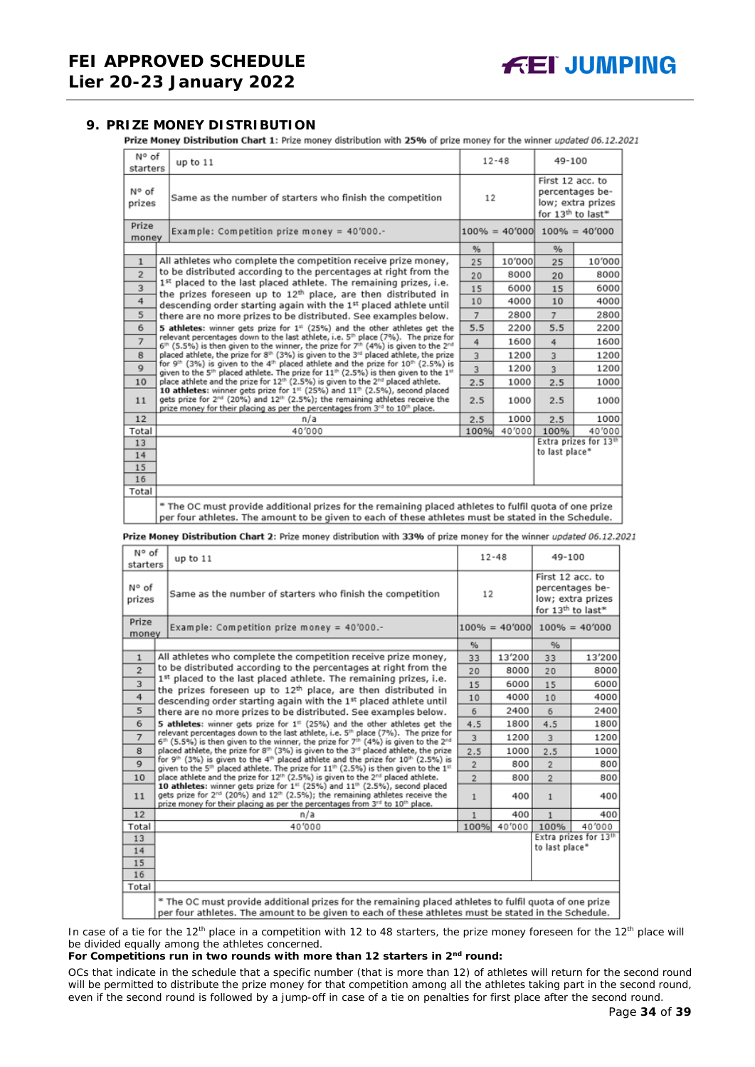<span id="page-33-0"></span>**9. PRIZE MONEY DISTRIBUTION**<br>**Prize Money Distribution Chart 1:** Prize money distribution with 25% of prize money for the winner updated 06.12.2021

| N° of<br>starters | up to 11                                                                                                                                                                                                                                                                                                                                                                                                                                                                                                                                                                                                                                                                                                                                                                                | $12 - 48$ |        | 49-100                                                                                    |                                   |
|-------------------|-----------------------------------------------------------------------------------------------------------------------------------------------------------------------------------------------------------------------------------------------------------------------------------------------------------------------------------------------------------------------------------------------------------------------------------------------------------------------------------------------------------------------------------------------------------------------------------------------------------------------------------------------------------------------------------------------------------------------------------------------------------------------------------------|-----------|--------|-------------------------------------------------------------------------------------------|-----------------------------------|
| N° of<br>prizes   | Same as the number of starters who finish the competition                                                                                                                                                                                                                                                                                                                                                                                                                                                                                                                                                                                                                                                                                                                               | 12        |        | First 12 acc. to<br>percentages be-<br>low; extra prizes<br>for 13 <sup>th</sup> to last* |                                   |
| Prize<br>money    | Example: Competition prize money = $40'000$ .-                                                                                                                                                                                                                                                                                                                                                                                                                                                                                                                                                                                                                                                                                                                                          |           |        |                                                                                           | $100\% = 40'000$ $100\% = 40'000$ |
|                   |                                                                                                                                                                                                                                                                                                                                                                                                                                                                                                                                                                                                                                                                                                                                                                                         | %         |        | %                                                                                         |                                   |
| $\mathbf{1}$      | All athletes who complete the competition receive prize money,                                                                                                                                                                                                                                                                                                                                                                                                                                                                                                                                                                                                                                                                                                                          | 25        | 10'000 | 25                                                                                        | 10'000                            |
| $\overline{2}$    | to be distributed according to the percentages at right from the                                                                                                                                                                                                                                                                                                                                                                                                                                                                                                                                                                                                                                                                                                                        | 20        | 8000   | 20                                                                                        | 8000                              |
| 3                 | 1st placed to the last placed athlete. The remaining prizes, i.e.<br>the prizes foreseen up to 12 <sup>th</sup> place, are then distributed in                                                                                                                                                                                                                                                                                                                                                                                                                                                                                                                                                                                                                                          | 15        | 6000   | 15                                                                                        | 6000                              |
| 4                 | descending order starting again with the 1st placed athlete until                                                                                                                                                                                                                                                                                                                                                                                                                                                                                                                                                                                                                                                                                                                       | 10        | 4000   | 10                                                                                        | 4000                              |
| 5                 | there are no more prizes to be distributed. See examples below.                                                                                                                                                                                                                                                                                                                                                                                                                                                                                                                                                                                                                                                                                                                         |           | 2800   | $\overline{7}$                                                                            | 2800                              |
| 6                 | 5 athletes: winner gets prize for 1 <sup>#</sup> (25%) and the other athletes get the                                                                                                                                                                                                                                                                                                                                                                                                                                                                                                                                                                                                                                                                                                   | 5.5       | 2200   | 5.5                                                                                       | 2200                              |
| $\overline{7}$    | relevant percentages down to the last athlete, i.e. 5 <sup>th</sup> place (7%). The prize for<br>$6th$ (5.5%) is then given to the winner, the prize for 7 <sup>th</sup> (4%) is given to the 2 <sup>nd</sup>                                                                                                                                                                                                                                                                                                                                                                                                                                                                                                                                                                           |           |        | 4                                                                                         | 1600                              |
| 8                 | placed athlete, the prize for 8th (3%) is given to the 3rd placed athlete, the prize<br>for 9 <sup>th</sup> (3%) is given to the 4 <sup>th</sup> placed athlete and the prize for 10 <sup>th</sup> (2.5%) is<br>$\mathbf{Q}$<br>given to the 5 <sup>th</sup> placed athlete. The prize for $11^{th}$ (2.5%) is then given to the $1^{th}$<br>place athlete and the prize for 12 <sup>th</sup> (2.5%) is given to the 2 <sup>nd</sup> placed athlete.<br>10<br>10 athletes: winner gets prize for 1 <sup>st</sup> (25%) and 11 <sup>th</sup> (2.5%), second placed<br>gets prize for 2 <sup>nd</sup> (20%) and 12 <sup>th</sup> (2.5%); the remaining athletes receive the<br>11<br>prize money for their placing as per the percentages from 3 <sup>rd</sup> to 10 <sup>th</sup> place. |           | 1200   | $\overline{3}$                                                                            | 1200                              |
|                   |                                                                                                                                                                                                                                                                                                                                                                                                                                                                                                                                                                                                                                                                                                                                                                                         |           | 1200   | $\overline{3}$                                                                            | 1200                              |
|                   |                                                                                                                                                                                                                                                                                                                                                                                                                                                                                                                                                                                                                                                                                                                                                                                         |           | 1000   | 2.5                                                                                       | 1000                              |
|                   |                                                                                                                                                                                                                                                                                                                                                                                                                                                                                                                                                                                                                                                                                                                                                                                         |           | 1000   | 2.5                                                                                       | 1000                              |
| 12                | n/a                                                                                                                                                                                                                                                                                                                                                                                                                                                                                                                                                                                                                                                                                                                                                                                     | 2.5       | 1000   | 2.5                                                                                       | 1000                              |
| Total             | 40'000                                                                                                                                                                                                                                                                                                                                                                                                                                                                                                                                                                                                                                                                                                                                                                                  | 100%      | 40'000 | 100%                                                                                      | 40'000                            |
| 13                |                                                                                                                                                                                                                                                                                                                                                                                                                                                                                                                                                                                                                                                                                                                                                                                         |           |        |                                                                                           | Extra prizes for 13th             |
| 14                |                                                                                                                                                                                                                                                                                                                                                                                                                                                                                                                                                                                                                                                                                                                                                                                         |           |        | to last place*                                                                            |                                   |
| 15                |                                                                                                                                                                                                                                                                                                                                                                                                                                                                                                                                                                                                                                                                                                                                                                                         |           |        |                                                                                           |                                   |
| 16                |                                                                                                                                                                                                                                                                                                                                                                                                                                                                                                                                                                                                                                                                                                                                                                                         |           |        |                                                                                           |                                   |
| Total             |                                                                                                                                                                                                                                                                                                                                                                                                                                                                                                                                                                                                                                                                                                                                                                                         |           |        |                                                                                           |                                   |
|                   | * The OC must provide additional prizes for the remaining placed athletes to fulfil quota of one prize<br>per four athletes. The amount to be given to each of these athletes must be stated in the Schedule.                                                                                                                                                                                                                                                                                                                                                                                                                                                                                                                                                                           |           |        |                                                                                           |                                   |

Prize Money Distribution Chart 2: Prize money distribution with 33% of prize money for the winner updated 06.12.2021

| N° of<br>starters | up to $11$                                                                                                                                                                                                                                                                                                      |                | $12 - 48$ |                                                                                           | 49-100                            |  |
|-------------------|-----------------------------------------------------------------------------------------------------------------------------------------------------------------------------------------------------------------------------------------------------------------------------------------------------------------|----------------|-----------|-------------------------------------------------------------------------------------------|-----------------------------------|--|
| N° of<br>prizes   | Same as the number of starters who finish the competition                                                                                                                                                                                                                                                       | 12             |           | First 12 acc. to<br>percentages be-<br>low; extra prizes<br>for 13 <sup>th</sup> to last* |                                   |  |
| Prize<br>money    | Example: Competition prize money = 40'000.-                                                                                                                                                                                                                                                                     |                |           |                                                                                           | $100\% = 40'000$ $100\% = 40'000$ |  |
|                   |                                                                                                                                                                                                                                                                                                                 | $\frac{9}{6}$  |           | %                                                                                         |                                   |  |
| $\mathbf{1}$      | All athletes who complete the competition receive prize money,                                                                                                                                                                                                                                                  | 33             | 13'200    | 33                                                                                        | 13'200                            |  |
| $\overline{2}$    | to be distributed according to the percentages at right from the                                                                                                                                                                                                                                                | 20             | 8000      | 20                                                                                        | 8000                              |  |
| 3                 | 1st placed to the last placed athlete. The remaining prizes, i.e.<br>the prizes foreseen up to 12 <sup>th</sup> place, are then distributed in                                                                                                                                                                  | 15             | 6000      | 15                                                                                        | 6000                              |  |
| 4                 | descending order starting again with the 1st placed athlete until<br>5<br>there are no more prizes to be distributed. See examples below.                                                                                                                                                                       |                | 4000      | 10                                                                                        | 4000                              |  |
|                   |                                                                                                                                                                                                                                                                                                                 |                | 2400      | 6                                                                                         | 2400                              |  |
| 6                 | 5 athletes: winner gets prize for $1st$ (25%) and the other athletes get the                                                                                                                                                                                                                                    | 4.5            | 1800      | 4.5                                                                                       | 1800                              |  |
| $\overline{7}$    | relevant percentages down to the last athlete, i.e. 5 <sup>th</sup> place (7%). The prize for<br>6 <sup>th</sup> (5.5%) is then given to the winner, the prize for 7 <sup>th</sup> (4%) is given to the 2 <sup>nd</sup>                                                                                         | 3              | 1200      | $\overline{3}$                                                                            | 1200                              |  |
| 8                 | placed athlete, the prize for 8th (3%) is given to the 3 <sup>rd</sup> placed athlete, the prize<br>for 9th (3%) is given to the 4th placed athlete and the prize for 10th (2.5%) is<br>given to the 5 <sup>th</sup> placed athlete. The prize for 11 <sup>th</sup> (2.5%) is then given to the 1 <sup>st</sup> |                | 1000      | 2.5                                                                                       | 1000                              |  |
| $\mathbf Q$       |                                                                                                                                                                                                                                                                                                                 |                | 800       | $\overline{2}$                                                                            | 800                               |  |
| 10                | place athlete and the prize for 12 <sup>th</sup> (2.5%) is given to the 2 <sup>rd</sup> placed athlete.                                                                                                                                                                                                         | $\overline{2}$ | 800       | $\overline{2}$                                                                            | 800                               |  |
| 11                | 10 athletes: winner gets prize for 1st (25%) and 11th (2.5%), second placed<br>gets prize for 2 <sup>nd</sup> (20%) and 12 <sup>th</sup> (2.5%); the remaining athletes receive the<br>prize money for their placing as per the percentages from 3rd to 10th place.                                             |                | 400       | $\mathbf{1}$                                                                              | 400                               |  |
| 12                | n/a                                                                                                                                                                                                                                                                                                             | 1              | 400       | 1                                                                                         | 400                               |  |
| Total             | 40'000                                                                                                                                                                                                                                                                                                          | 100%           | 40'000    | 100%                                                                                      | 40'000                            |  |
| 13                |                                                                                                                                                                                                                                                                                                                 |                |           |                                                                                           | Extra prizes for 13th             |  |
| 14                |                                                                                                                                                                                                                                                                                                                 |                |           | to last place*                                                                            |                                   |  |
| 15                |                                                                                                                                                                                                                                                                                                                 |                |           |                                                                                           |                                   |  |
| 16<br>Total       |                                                                                                                                                                                                                                                                                                                 |                |           |                                                                                           |                                   |  |
|                   |                                                                                                                                                                                                                                                                                                                 |                |           |                                                                                           |                                   |  |
|                   | * The OC must provide additional prizes for the remaining placed athletes to fulfil quota of one prize<br>per four athletes. The amount to be given to each of these athletes must be stated in the Schedule.                                                                                                   |                |           |                                                                                           |                                   |  |

In case of a tie for the 12<sup>th</sup> place in a competition with 12 to 48 starters, the prize money foreseen for the 12<sup>th</sup> place will be divided equally among the athletes concerned.

#### **For Competitions run in two rounds with more than 12 starters in 2nd round:**

*OCs that indicate in the schedule that a specific number (that is more than 12) of athletes will return for the second round will be permitted to distribute the prize money for that competition among all the athletes taking part in the second round, even if the second round is followed by a jump-off in case of a tie on penalties for first place after the second round.*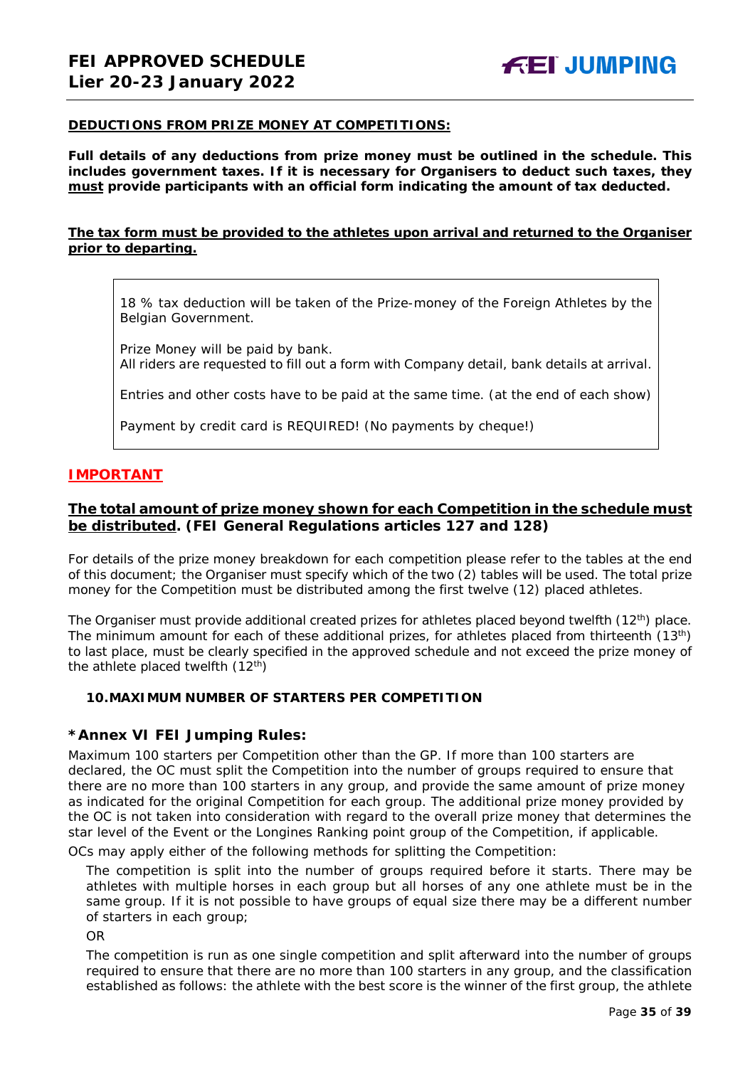#### **DEDUCTIONS FROM PRIZE MONEY AT COMPETITIONS:**

**Full details of any deductions from prize money must be outlined in the schedule. This includes government taxes. If it is necessary for Organisers to deduct such taxes, they must provide participants with an official form indicating the amount of tax deducted.** 

#### **The tax form must be provided to the athletes upon arrival and returned to the Organiser prior to departing.**

18 % tax deduction will be taken of the Prize-money of the Foreign Athletes by the Belgian Government.

Prize Money will be paid by bank. All riders are requested to fill out a form with Company detail, bank details at arrival.

Entries and other costs have to be paid at the same time. (at the end of each show)

Payment by credit card is REQUIRED! (No payments by cheque!)

#### **IMPORTANT**

#### **The total amount of prize money shown for each Competition in the schedule must be distributed. (FEI General Regulations articles 127 and 128)**

For details of the prize money breakdown for each competition please refer to the tables at the end of this document; the Organiser must specify which of the two (2) tables will be used. The total prize money for the Competition must be distributed among the first twelve (12) placed athletes.

The Organiser must provide additional created prizes for athletes placed beyond twelfth  $(12<sup>th</sup>)$  place. The minimum amount for each of these additional prizes, for athletes placed from thirteenth (13<sup>th</sup>) to last place, must be clearly specified in the approved schedule and not exceed the prize money of the athlete placed twelfth  $(12<sup>th</sup>)$ 

#### <span id="page-34-0"></span>**10.MAXIMUM NUMBER OF STARTERS PER COMPETITION**

#### **\*Annex VI FEI Jumping Rules:**

Maximum 100 starters per Competition other than the GP. If more than 100 starters are declared, the OC must split the Competition into the number of groups required to ensure that there are no more than 100 starters in any group, and provide the same amount of prize money as indicated for the original Competition for each group. The additional prize money provided by the OC is not taken into consideration with regard to the overall prize money that determines the star level of the Event or the Longines Ranking point group of the Competition, if applicable. OCs may apply either of the following methods for splitting the Competition:

The competition is split into the number of groups required before it starts. There may be athletes with multiple horses in each group but all horses of any one athlete must be in the same group. If it is not possible to have groups of equal size there may be a different number of starters in each group;

OR

The competition is run as one single competition and split afterward into the number of groups required to ensure that there are no more than 100 starters in any group, and the classification established as follows: the athlete with the best score is the winner of the first group, the athlete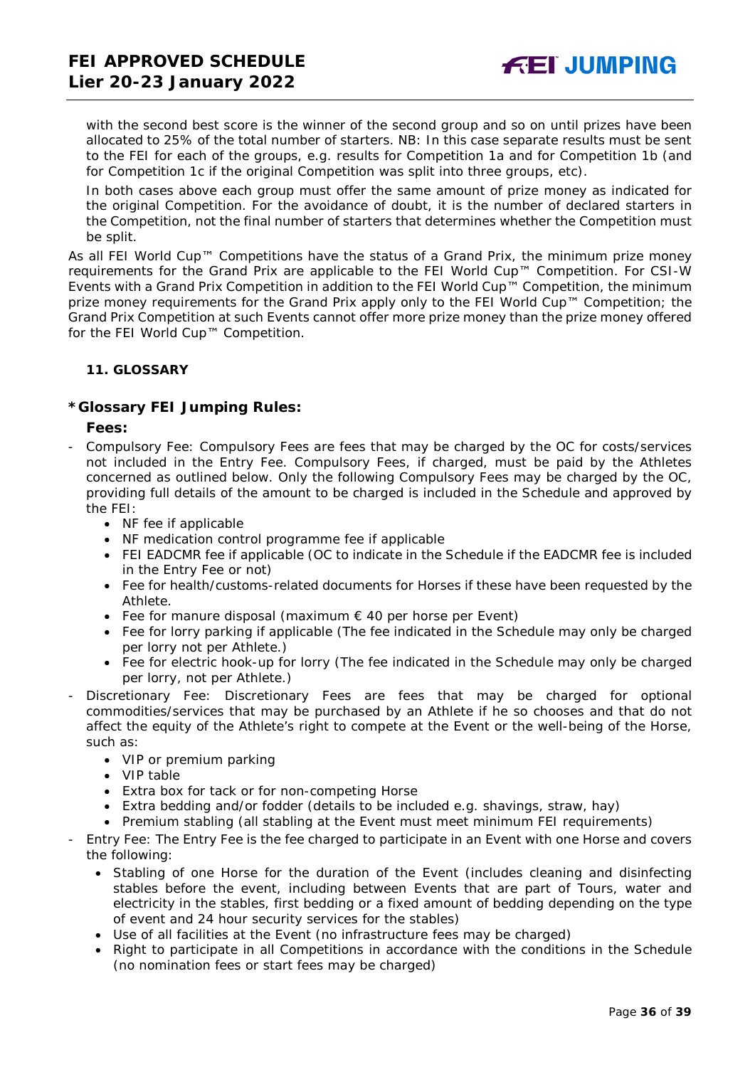with the second best score is the winner of the second group and so on until prizes have been allocated to 25% of the total number of starters. *NB: In this case separate results must be sent to the FEI for each of the groups, e.g. results for Competition 1a and for Competition 1b (and for Competition 1c if the original Competition was split into three groups, etc).*

In both cases above each group must offer the same amount of prize money as indicated for the original Competition. For the avoidance of doubt, it is the number of declared starters in the Competition, not the final number of starters that determines whether the Competition must be split.

As all FEI World Cup™ Competitions have the status of a Grand Prix, the minimum prize money requirements for the Grand Prix are applicable to the FEI World Cup™ Competition. For CSI-W Events with a Grand Prix Competition in addition to the FEI World Cup™ Competition, the minimum prize money requirements for the Grand Prix apply only to the FEI World Cup™ Competition; the Grand Prix Competition at such Events cannot offer more prize money than the prize money offered for the FEI World Cup™ Competition.

#### <span id="page-35-0"></span>**11. GLOSSARY**

#### **\*Glossary FEI Jumping Rules:**

#### **Fees:**

- Compulsory Fee: Compulsory Fees are fees that may be charged by the OC for costs/services not included in the Entry Fee. Compulsory Fees, if charged, must be paid by the Athletes concerned as outlined below. Only the following Compulsory Fees may be charged by the OC, providing full details of the amount to be charged is included in the Schedule and approved by the FEI:
	- NF fee if applicable
	- NF medication control programme fee if applicable
	- FEI EADCMR fee if applicable (OC to indicate in the Schedule if the EADCMR fee is included in the Entry Fee or not)
	- Fee for health/customs-related documents for Horses if these have been requested by the Athlete.
	- Fee for manure disposal (maximum  $\epsilon$  40 per horse per Event)
	- Fee for lorry parking if applicable (The fee indicated in the Schedule may only be charged per lorry not per Athlete.)
	- Fee for electric hook-up for lorry (The fee indicated in the Schedule may only be charged per lorry, not per Athlete.)
- Discretionary Fee: Discretionary Fees are fees that may be charged for optional commodities/services that may be purchased by an Athlete if he so chooses and that do not affect the equity of the Athlete's right to compete at the Event or the well-being of the Horse, such as:
	- VIP or premium parking
	- VIP table
	- Extra box for tack or for non-competing Horse
	- Extra bedding and/or fodder (details to be included e.g. shavings, straw, hay)
	- Premium stabling (all stabling at the Event must meet minimum FEI requirements)
- Entry Fee: The Entry Fee is the fee charged to participate in an Event with one Horse and covers the following:
	- Stabling of one Horse for the duration of the Event (includes cleaning and disinfecting stables before the event, including between Events that are part of Tours, water and electricity in the stables, first bedding or a fixed amount of bedding depending on the type of event and 24 hour security services for the stables)
	- Use of all facilities at the Event (no infrastructure fees may be charged)
	- Right to participate in all Competitions in accordance with the conditions in the Schedule (no nomination fees or start fees may be charged)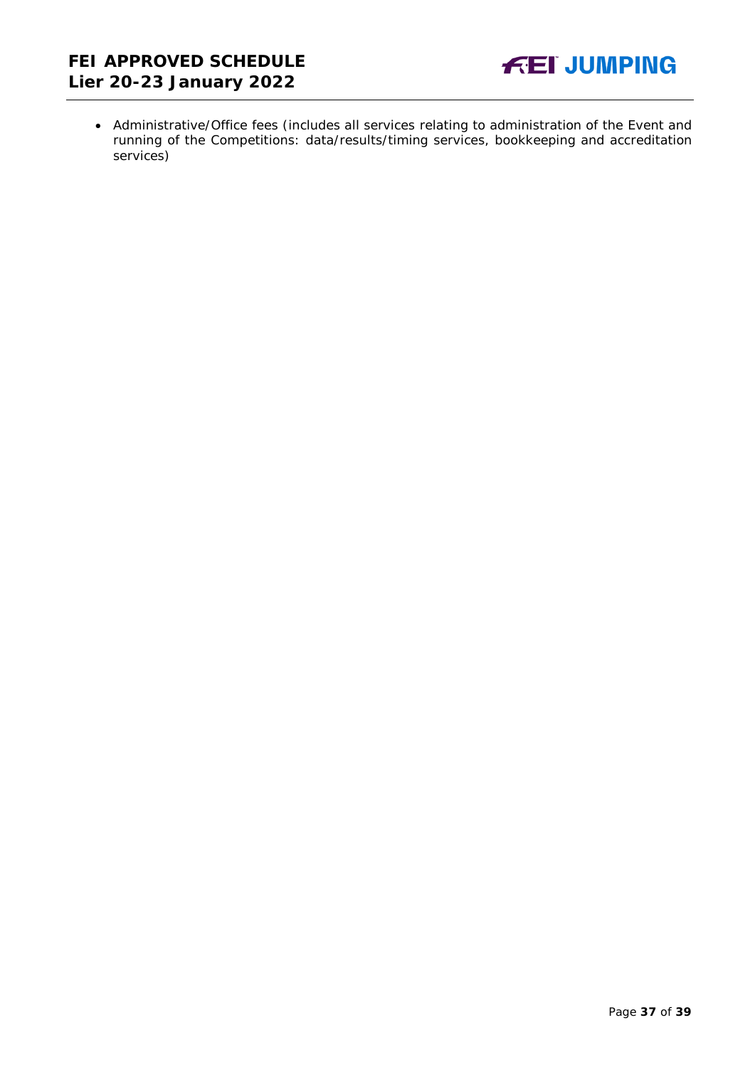

• Administrative/Office fees (includes all services relating to administration of the Event and running of the Competitions: data/results/timing services, bookkeeping and accreditation services)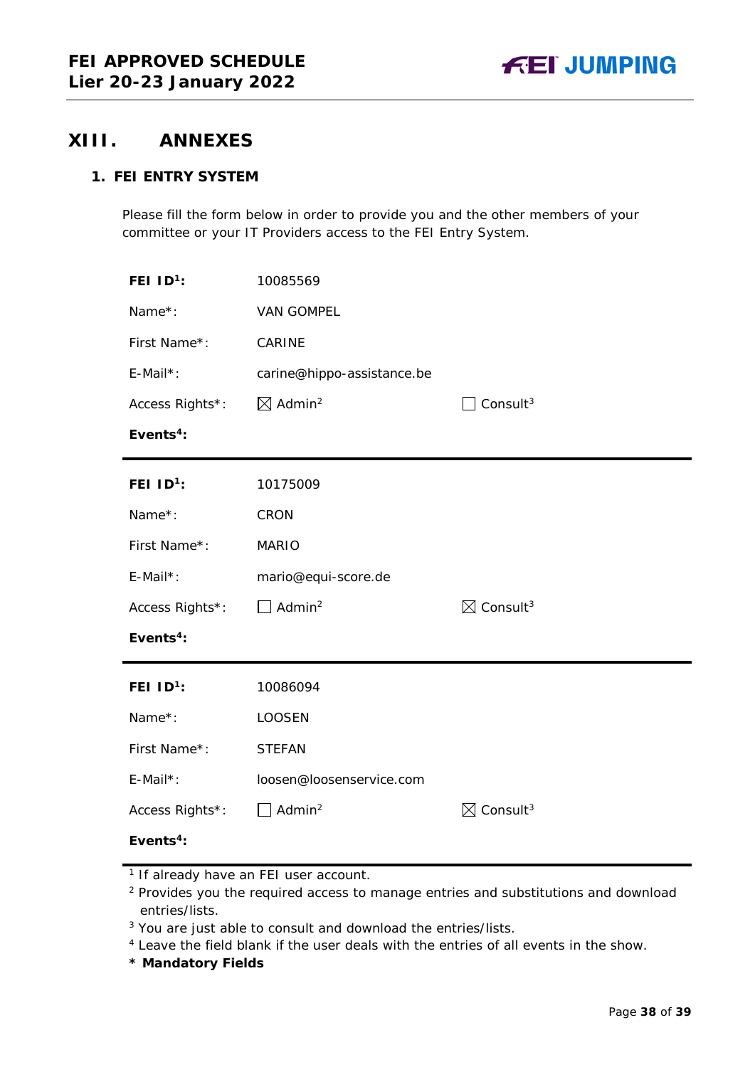## <span id="page-37-0"></span>**XIII. ANNEXES**

## **1. FEI ENTRY SYSTEM**

Please fill the form below in order to provide you and the other members of your committee or your IT Providers access to the FEI Entry System.

| FEI $ID^1$ :          | 10085569                       |                                  |
|-----------------------|--------------------------------|----------------------------------|
| Name*:                | <b>VAN GOMPEL</b>              |                                  |
| First Name*:          | CARINE                         |                                  |
| $E$ -Mail*:           | carine@hippo-assistance.be     |                                  |
| Access Rights*:       | $\boxtimes$ Admin <sup>2</sup> | Consult $3$                      |
| Events <sup>4</sup> : |                                |                                  |
| FEI $ID^1$ :          | 10175009                       |                                  |
| Name*:                | CRON                           |                                  |
| First Name*:          | <b>MARIO</b>                   |                                  |
| E-Mail*:              | mario@equi-score.de            |                                  |
| Access Rights*:       | Admin <sup>2</sup>             | $\boxtimes$ Consult <sup>3</sup> |
| Events <sup>4</sup> : |                                |                                  |
| FEI $1D^1$ :          | 10086094                       |                                  |
| Name*:                | <b>LOOSEN</b>                  |                                  |
| First Name*:          | <b>STEFAN</b>                  |                                  |
| E-Mail*:              | loosen@loosenservice.com       |                                  |
| Access Rights*:       | Admin $^2$                     | $\boxtimes$ Consult <sup>3</sup> |
| Events <sup>4</sup> : |                                |                                  |

**\* Mandatory Fields**

<sup>&</sup>lt;sup>1</sup> If already have an FEI user account.

<sup>&</sup>lt;sup>2</sup> Provides you the required access to manage entries and substitutions and download entries/lists.

<sup>&</sup>lt;sup>3</sup> You are just able to consult and download the entries/lists.

<sup>4</sup> Leave the field blank if the user deals with the entries of all events in the show.